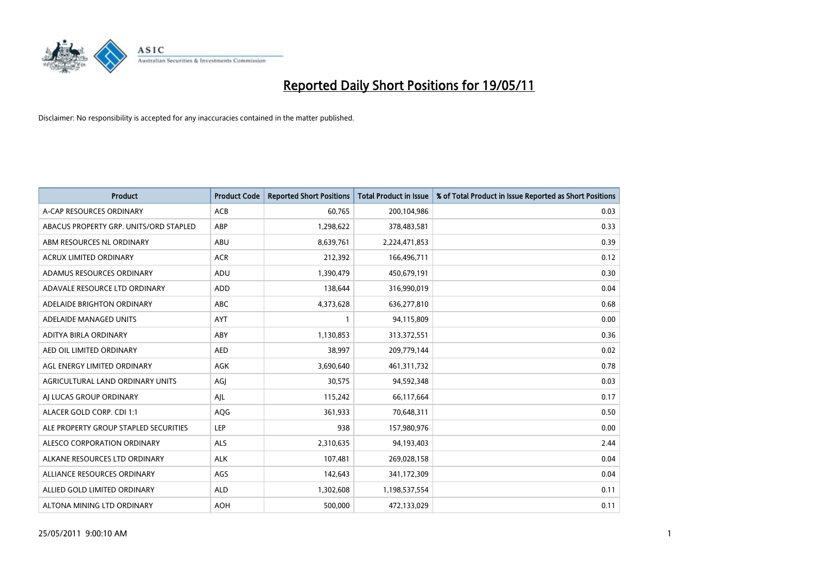

| <b>Product</b>                         | <b>Product Code</b> | <b>Reported Short Positions</b> | Total Product in Issue | % of Total Product in Issue Reported as Short Positions |
|----------------------------------------|---------------------|---------------------------------|------------------------|---------------------------------------------------------|
| A-CAP RESOURCES ORDINARY               | <b>ACB</b>          | 60,765                          | 200,104,986            | 0.03                                                    |
| ABACUS PROPERTY GRP. UNITS/ORD STAPLED | ABP                 | 1,298,622                       | 378,483,581            | 0.33                                                    |
| ABM RESOURCES NL ORDINARY              | <b>ABU</b>          | 8,639,761                       | 2,224,471,853          | 0.39                                                    |
| ACRUX LIMITED ORDINARY                 | <b>ACR</b>          | 212,392                         | 166,496,711            | 0.12                                                    |
| ADAMUS RESOURCES ORDINARY              | <b>ADU</b>          | 1,390,479                       | 450,679,191            | 0.30                                                    |
| ADAVALE RESOURCE LTD ORDINARY          | <b>ADD</b>          | 138,644                         | 316,990,019            | 0.04                                                    |
| ADELAIDE BRIGHTON ORDINARY             | <b>ABC</b>          | 4,373,628                       | 636,277,810            | 0.68                                                    |
| ADELAIDE MANAGED UNITS                 | <b>AYT</b>          |                                 | 94,115,809             | 0.00                                                    |
| ADITYA BIRLA ORDINARY                  | ABY                 | 1,130,853                       | 313,372,551            | 0.36                                                    |
| AED OIL LIMITED ORDINARY               | <b>AED</b>          | 38.997                          | 209,779,144            | 0.02                                                    |
| AGL ENERGY LIMITED ORDINARY            | <b>AGK</b>          | 3,690,640                       | 461,311,732            | 0.78                                                    |
| AGRICULTURAL LAND ORDINARY UNITS       | AGJ                 | 30,575                          | 94,592,348             | 0.03                                                    |
| AI LUCAS GROUP ORDINARY                | AJL                 | 115,242                         | 66,117,664             | 0.17                                                    |
| ALACER GOLD CORP. CDI 1:1              | AQG                 | 361,933                         | 70,648,311             | 0.50                                                    |
| ALE PROPERTY GROUP STAPLED SECURITIES  | LEP                 | 938                             | 157,980,976            | 0.00                                                    |
| ALESCO CORPORATION ORDINARY            | ALS                 | 2,310,635                       | 94,193,403             | 2.44                                                    |
| ALKANE RESOURCES LTD ORDINARY          | <b>ALK</b>          | 107,481                         | 269,028,158            | 0.04                                                    |
| ALLIANCE RESOURCES ORDINARY            | AGS                 | 142,643                         | 341,172,309            | 0.04                                                    |
| ALLIED GOLD LIMITED ORDINARY           | <b>ALD</b>          | 1,302,608                       | 1,198,537,554          | 0.11                                                    |
| ALTONA MINING LTD ORDINARY             | <b>AOH</b>          | 500,000                         | 472,133,029            | 0.11                                                    |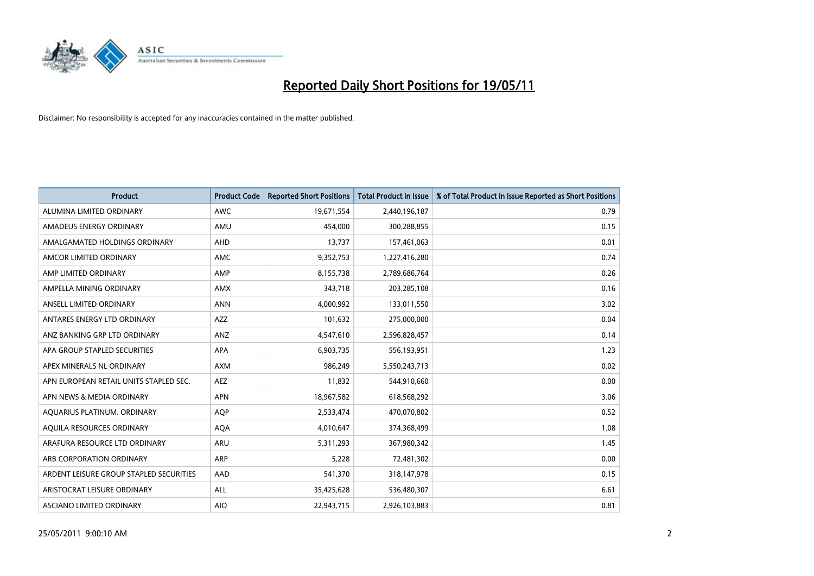

| <b>Product</b>                          | <b>Product Code</b> | <b>Reported Short Positions</b> | Total Product in Issue | % of Total Product in Issue Reported as Short Positions |
|-----------------------------------------|---------------------|---------------------------------|------------------------|---------------------------------------------------------|
| ALUMINA LIMITED ORDINARY                | <b>AWC</b>          | 19,671,554                      | 2,440,196,187          | 0.79                                                    |
| AMADEUS ENERGY ORDINARY                 | AMU                 | 454,000                         | 300,288,855            | 0.15                                                    |
| AMALGAMATED HOLDINGS ORDINARY           | AHD                 | 13,737                          | 157,461,063            | 0.01                                                    |
| AMCOR LIMITED ORDINARY                  | <b>AMC</b>          | 9,352,753                       | 1,227,416,280          | 0.74                                                    |
| AMP LIMITED ORDINARY                    | AMP                 | 8,155,738                       | 2,789,686,764          | 0.26                                                    |
| AMPELLA MINING ORDINARY                 | <b>AMX</b>          | 343,718                         | 203,285,108            | 0.16                                                    |
| ANSELL LIMITED ORDINARY                 | <b>ANN</b>          | 4,000,992                       | 133,011,550            | 3.02                                                    |
| ANTARES ENERGY LTD ORDINARY             | <b>AZZ</b>          | 101,632                         | 275,000,000            | 0.04                                                    |
| ANZ BANKING GRP LTD ORDINARY            | <b>ANZ</b>          | 4,547,610                       | 2,596,828,457          | 0.14                                                    |
| APA GROUP STAPLED SECURITIES            | <b>APA</b>          | 6,903,735                       | 556,193,951            | 1.23                                                    |
| APEX MINERALS NL ORDINARY               | <b>AXM</b>          | 986,249                         | 5,550,243,713          | 0.02                                                    |
| APN EUROPEAN RETAIL UNITS STAPLED SEC.  | <b>AEZ</b>          | 11,832                          | 544,910,660            | 0.00                                                    |
| APN NEWS & MEDIA ORDINARY               | <b>APN</b>          | 18,967,582                      | 618,568,292            | 3.06                                                    |
| AQUARIUS PLATINUM. ORDINARY             | <b>AOP</b>          | 2,533,474                       | 470,070,802            | 0.52                                                    |
| AQUILA RESOURCES ORDINARY               | <b>AQA</b>          | 4,010,647                       | 374,368,499            | 1.08                                                    |
| ARAFURA RESOURCE LTD ORDINARY           | <b>ARU</b>          | 5,311,293                       | 367,980,342            | 1.45                                                    |
| ARB CORPORATION ORDINARY                | <b>ARP</b>          | 5,228                           | 72,481,302             | 0.00                                                    |
| ARDENT LEISURE GROUP STAPLED SECURITIES | AAD                 | 541,370                         | 318,147,978            | 0.15                                                    |
| ARISTOCRAT LEISURE ORDINARY             | ALL                 | 35,425,628                      | 536,480,307            | 6.61                                                    |
| ASCIANO LIMITED ORDINARY                | <b>AIO</b>          | 22,943,715                      | 2,926,103,883          | 0.81                                                    |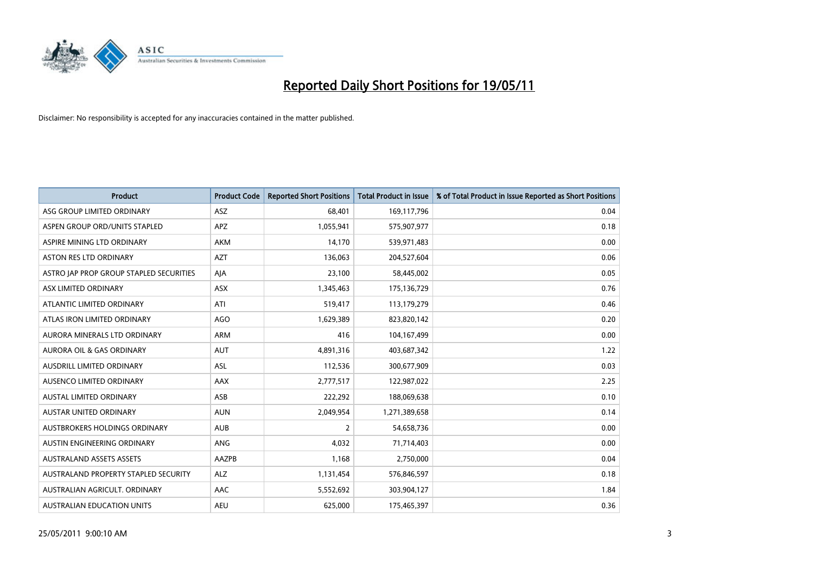

| <b>Product</b>                          | <b>Product Code</b> | <b>Reported Short Positions</b> | <b>Total Product in Issue</b> | % of Total Product in Issue Reported as Short Positions |
|-----------------------------------------|---------------------|---------------------------------|-------------------------------|---------------------------------------------------------|
| ASG GROUP LIMITED ORDINARY              | <b>ASZ</b>          | 68.401                          | 169,117,796                   | 0.04                                                    |
| ASPEN GROUP ORD/UNITS STAPLED           | <b>APZ</b>          | 1,055,941                       | 575,907,977                   | 0.18                                                    |
| ASPIRE MINING LTD ORDINARY              | <b>AKM</b>          | 14,170                          | 539,971,483                   | 0.00                                                    |
| ASTON RES LTD ORDINARY                  | <b>AZT</b>          | 136,063                         | 204,527,604                   | 0.06                                                    |
| ASTRO JAP PROP GROUP STAPLED SECURITIES | AJA                 | 23,100                          | 58,445,002                    | 0.05                                                    |
| ASX LIMITED ORDINARY                    | ASX                 | 1,345,463                       | 175,136,729                   | 0.76                                                    |
| ATLANTIC LIMITED ORDINARY               | ATI                 | 519,417                         | 113,179,279                   | 0.46                                                    |
| ATLAS IRON LIMITED ORDINARY             | <b>AGO</b>          | 1,629,389                       | 823,820,142                   | 0.20                                                    |
| AURORA MINERALS LTD ORDINARY            | <b>ARM</b>          | 416                             | 104,167,499                   | 0.00                                                    |
| <b>AURORA OIL &amp; GAS ORDINARY</b>    | <b>AUT</b>          | 4,891,316                       | 403,687,342                   | 1.22                                                    |
| AUSDRILL LIMITED ORDINARY               | <b>ASL</b>          | 112,536                         | 300,677,909                   | 0.03                                                    |
| AUSENCO LIMITED ORDINARY                | <b>AAX</b>          | 2,777,517                       | 122,987,022                   | 2.25                                                    |
| <b>AUSTAL LIMITED ORDINARY</b>          | ASB                 | 222,292                         | 188,069,638                   | 0.10                                                    |
| <b>AUSTAR UNITED ORDINARY</b>           | <b>AUN</b>          | 2,049,954                       | 1,271,389,658                 | 0.14                                                    |
| AUSTBROKERS HOLDINGS ORDINARY           | <b>AUB</b>          | $\overline{2}$                  | 54,658,736                    | 0.00                                                    |
| AUSTIN ENGINEERING ORDINARY             | ANG                 | 4,032                           | 71,714,403                    | 0.00                                                    |
| <b>AUSTRALAND ASSETS ASSETS</b>         | AAZPB               | 1,168                           | 2,750,000                     | 0.04                                                    |
| AUSTRALAND PROPERTY STAPLED SECURITY    | <b>ALZ</b>          | 1,131,454                       | 576,846,597                   | 0.18                                                    |
| AUSTRALIAN AGRICULT, ORDINARY           | AAC                 | 5,552,692                       | 303,904,127                   | 1.84                                                    |
| AUSTRALIAN EDUCATION UNITS              | <b>AEU</b>          | 625,000                         | 175,465,397                   | 0.36                                                    |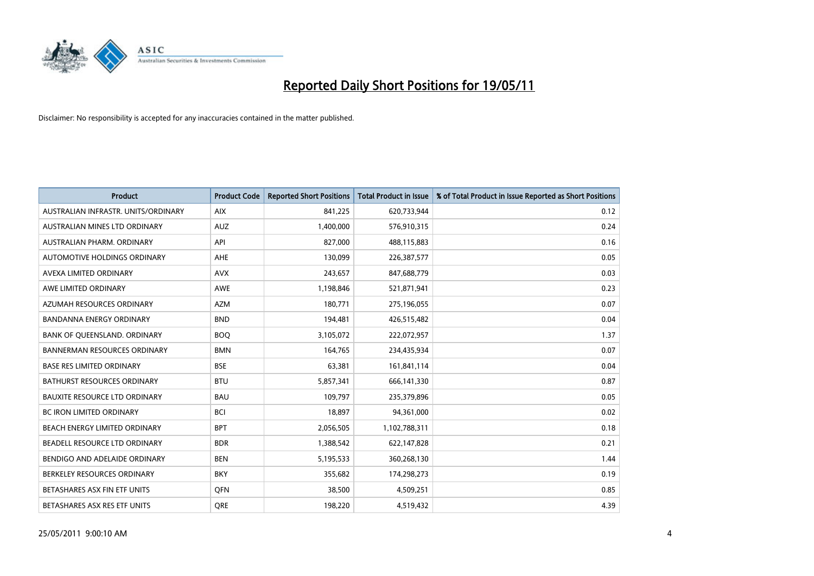

| <b>Product</b>                       | <b>Product Code</b> | <b>Reported Short Positions</b> | <b>Total Product in Issue</b> | % of Total Product in Issue Reported as Short Positions |
|--------------------------------------|---------------------|---------------------------------|-------------------------------|---------------------------------------------------------|
| AUSTRALIAN INFRASTR, UNITS/ORDINARY  | <b>AIX</b>          | 841,225                         | 620,733,944                   | 0.12                                                    |
| AUSTRALIAN MINES LTD ORDINARY        | <b>AUZ</b>          | 1,400,000                       | 576,910,315                   | 0.24                                                    |
| AUSTRALIAN PHARM, ORDINARY           | API                 | 827,000                         | 488,115,883                   | 0.16                                                    |
| AUTOMOTIVE HOLDINGS ORDINARY         | <b>AHE</b>          | 130,099                         | 226,387,577                   | 0.05                                                    |
| AVEXA LIMITED ORDINARY               | <b>AVX</b>          | 243,657                         | 847,688,779                   | 0.03                                                    |
| AWE LIMITED ORDINARY                 | <b>AWE</b>          | 1,198,846                       | 521,871,941                   | 0.23                                                    |
| AZUMAH RESOURCES ORDINARY            | <b>AZM</b>          | 180,771                         | 275,196,055                   | 0.07                                                    |
| <b>BANDANNA ENERGY ORDINARY</b>      | <b>BND</b>          | 194,481                         | 426,515,482                   | 0.04                                                    |
| BANK OF QUEENSLAND. ORDINARY         | <b>BOO</b>          | 3,105,072                       | 222,072,957                   | 1.37                                                    |
| <b>BANNERMAN RESOURCES ORDINARY</b>  | <b>BMN</b>          | 164,765                         | 234,435,934                   | 0.07                                                    |
| <b>BASE RES LIMITED ORDINARY</b>     | <b>BSE</b>          | 63,381                          | 161,841,114                   | 0.04                                                    |
| BATHURST RESOURCES ORDINARY          | <b>BTU</b>          | 5,857,341                       | 666,141,330                   | 0.87                                                    |
| <b>BAUXITE RESOURCE LTD ORDINARY</b> | <b>BAU</b>          | 109,797                         | 235,379,896                   | 0.05                                                    |
| <b>BC IRON LIMITED ORDINARY</b>      | <b>BCI</b>          | 18,897                          | 94,361,000                    | 0.02                                                    |
| BEACH ENERGY LIMITED ORDINARY        | <b>BPT</b>          | 2,056,505                       | 1,102,788,311                 | 0.18                                                    |
| BEADELL RESOURCE LTD ORDINARY        | <b>BDR</b>          | 1,388,542                       | 622,147,828                   | 0.21                                                    |
| BENDIGO AND ADELAIDE ORDINARY        | <b>BEN</b>          | 5,195,533                       | 360,268,130                   | 1.44                                                    |
| BERKELEY RESOURCES ORDINARY          | <b>BKY</b>          | 355,682                         | 174,298,273                   | 0.19                                                    |
| BETASHARES ASX FIN ETF UNITS         | <b>OFN</b>          | 38,500                          | 4,509,251                     | 0.85                                                    |
| BETASHARES ASX RES ETF UNITS         | <b>ORE</b>          | 198,220                         | 4,519,432                     | 4.39                                                    |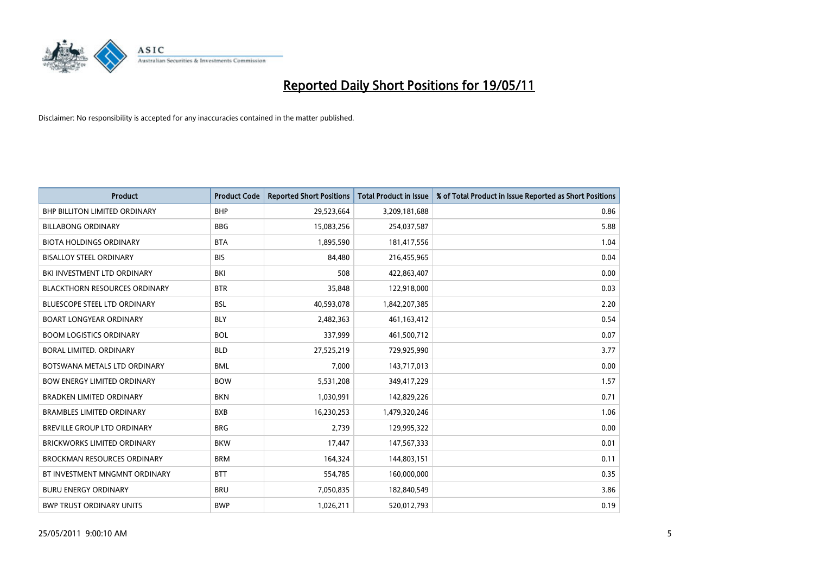

| <b>Product</b>                       | <b>Product Code</b> | <b>Reported Short Positions</b> | <b>Total Product in Issue</b> | % of Total Product in Issue Reported as Short Positions |
|--------------------------------------|---------------------|---------------------------------|-------------------------------|---------------------------------------------------------|
| <b>BHP BILLITON LIMITED ORDINARY</b> | <b>BHP</b>          | 29,523,664                      | 3,209,181,688                 | 0.86                                                    |
| <b>BILLABONG ORDINARY</b>            | <b>BBG</b>          | 15,083,256                      | 254,037,587                   | 5.88                                                    |
| <b>BIOTA HOLDINGS ORDINARY</b>       | <b>BTA</b>          | 1,895,590                       | 181,417,556                   | 1.04                                                    |
| <b>BISALLOY STEEL ORDINARY</b>       | <b>BIS</b>          | 84,480                          | 216,455,965                   | 0.04                                                    |
| BKI INVESTMENT LTD ORDINARY          | <b>BKI</b>          | 508                             | 422,863,407                   | 0.00                                                    |
| <b>BLACKTHORN RESOURCES ORDINARY</b> | <b>BTR</b>          | 35,848                          | 122,918,000                   | 0.03                                                    |
| <b>BLUESCOPE STEEL LTD ORDINARY</b>  | <b>BSL</b>          | 40,593,078                      | 1,842,207,385                 | 2.20                                                    |
| <b>BOART LONGYEAR ORDINARY</b>       | <b>BLY</b>          | 2,482,363                       | 461,163,412                   | 0.54                                                    |
| <b>BOOM LOGISTICS ORDINARY</b>       | <b>BOL</b>          | 337,999                         | 461,500,712                   | 0.07                                                    |
| <b>BORAL LIMITED, ORDINARY</b>       | <b>BLD</b>          | 27,525,219                      | 729,925,990                   | 3.77                                                    |
| BOTSWANA METALS LTD ORDINARY         | <b>BML</b>          | 7,000                           | 143,717,013                   | 0.00                                                    |
| <b>BOW ENERGY LIMITED ORDINARY</b>   | <b>BOW</b>          | 5,531,208                       | 349,417,229                   | 1.57                                                    |
| <b>BRADKEN LIMITED ORDINARY</b>      | <b>BKN</b>          | 1,030,991                       | 142,829,226                   | 0.71                                                    |
| <b>BRAMBLES LIMITED ORDINARY</b>     | <b>BXB</b>          | 16,230,253                      | 1,479,320,246                 | 1.06                                                    |
| BREVILLE GROUP LTD ORDINARY          | <b>BRG</b>          | 2,739                           | 129,995,322                   | 0.00                                                    |
| BRICKWORKS LIMITED ORDINARY          | <b>BKW</b>          | 17,447                          | 147,567,333                   | 0.01                                                    |
| <b>BROCKMAN RESOURCES ORDINARY</b>   | <b>BRM</b>          | 164,324                         | 144,803,151                   | 0.11                                                    |
| BT INVESTMENT MNGMNT ORDINARY        | <b>BTT</b>          | 554,785                         | 160,000,000                   | 0.35                                                    |
| <b>BURU ENERGY ORDINARY</b>          | <b>BRU</b>          | 7,050,835                       | 182,840,549                   | 3.86                                                    |
| <b>BWP TRUST ORDINARY UNITS</b>      | <b>BWP</b>          | 1,026,211                       | 520,012,793                   | 0.19                                                    |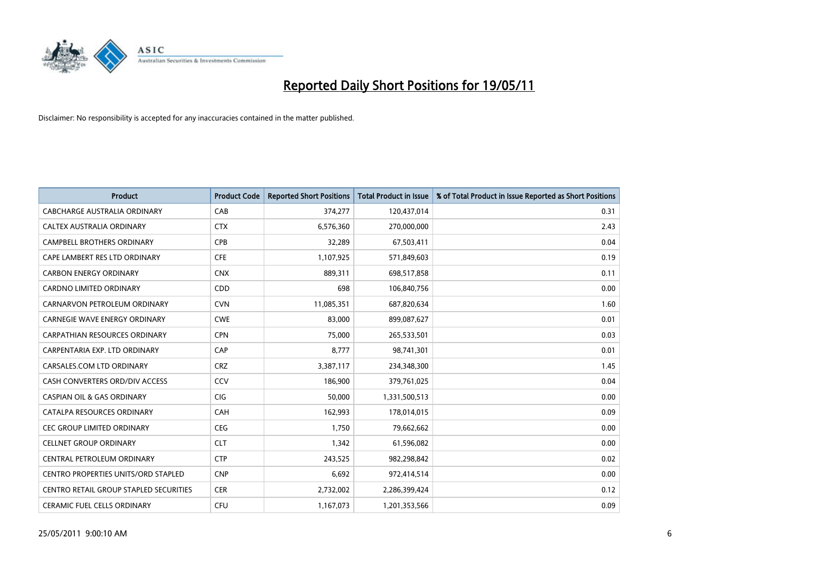

| <b>Product</b>                                | <b>Product Code</b> | <b>Reported Short Positions</b> | <b>Total Product in Issue</b> | % of Total Product in Issue Reported as Short Positions |
|-----------------------------------------------|---------------------|---------------------------------|-------------------------------|---------------------------------------------------------|
| <b>CABCHARGE AUSTRALIA ORDINARY</b>           | CAB                 | 374,277                         | 120,437,014                   | 0.31                                                    |
| CALTEX AUSTRALIA ORDINARY                     | <b>CTX</b>          | 6,576,360                       | 270,000,000                   | 2.43                                                    |
| <b>CAMPBELL BROTHERS ORDINARY</b>             | <b>CPB</b>          | 32,289                          | 67,503,411                    | 0.04                                                    |
| CAPE LAMBERT RES LTD ORDINARY                 | <b>CFE</b>          | 1,107,925                       | 571,849,603                   | 0.19                                                    |
| <b>CARBON ENERGY ORDINARY</b>                 | <b>CNX</b>          | 889,311                         | 698,517,858                   | 0.11                                                    |
| <b>CARDNO LIMITED ORDINARY</b>                | CDD                 | 698                             | 106,840,756                   | 0.00                                                    |
| CARNARVON PETROLEUM ORDINARY                  | <b>CVN</b>          | 11,085,351                      | 687,820,634                   | 1.60                                                    |
| <b>CARNEGIE WAVE ENERGY ORDINARY</b>          | <b>CWE</b>          | 83,000                          | 899,087,627                   | 0.01                                                    |
| CARPATHIAN RESOURCES ORDINARY                 | <b>CPN</b>          | 75,000                          | 265,533,501                   | 0.03                                                    |
| CARPENTARIA EXP. LTD ORDINARY                 | CAP                 | 8,777                           | 98,741,301                    | 0.01                                                    |
| CARSALES.COM LTD ORDINARY                     | <b>CRZ</b>          | 3,387,117                       | 234,348,300                   | 1.45                                                    |
| CASH CONVERTERS ORD/DIV ACCESS                | CCV                 | 186,900                         | 379,761,025                   | 0.04                                                    |
| <b>CASPIAN OIL &amp; GAS ORDINARY</b>         | <b>CIG</b>          | 50.000                          | 1,331,500,513                 | 0.00                                                    |
| CATALPA RESOURCES ORDINARY                    | CAH                 | 162,993                         | 178,014,015                   | 0.09                                                    |
| <b>CEC GROUP LIMITED ORDINARY</b>             | CEG                 | 1,750                           | 79,662,662                    | 0.00                                                    |
| <b>CELLNET GROUP ORDINARY</b>                 | <b>CLT</b>          | 1,342                           | 61,596,082                    | 0.00                                                    |
| CENTRAL PETROLEUM ORDINARY                    | <b>CTP</b>          | 243,525                         | 982,298,842                   | 0.02                                                    |
| <b>CENTRO PROPERTIES UNITS/ORD STAPLED</b>    | <b>CNP</b>          | 6,692                           | 972,414,514                   | 0.00                                                    |
| <b>CENTRO RETAIL GROUP STAPLED SECURITIES</b> | <b>CER</b>          | 2,732,002                       | 2,286,399,424                 | 0.12                                                    |
| <b>CERAMIC FUEL CELLS ORDINARY</b>            | CFU                 | 1,167,073                       | 1,201,353,566                 | 0.09                                                    |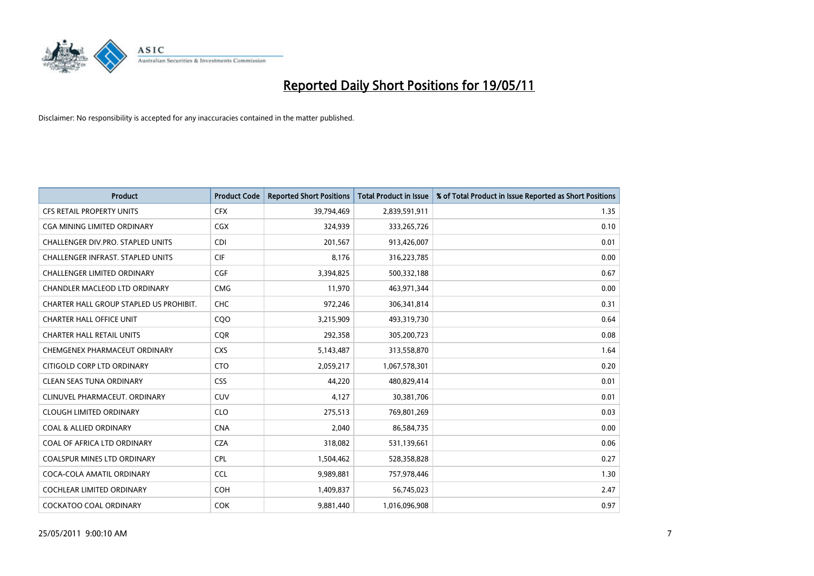

| <b>Product</b>                          | <b>Product Code</b> | <b>Reported Short Positions</b> | <b>Total Product in Issue</b> | % of Total Product in Issue Reported as Short Positions |
|-----------------------------------------|---------------------|---------------------------------|-------------------------------|---------------------------------------------------------|
| <b>CFS RETAIL PROPERTY UNITS</b>        | <b>CFX</b>          | 39,794,469                      | 2,839,591,911                 | 1.35                                                    |
| <b>CGA MINING LIMITED ORDINARY</b>      | <b>CGX</b>          | 324,939                         | 333,265,726                   | 0.10                                                    |
| CHALLENGER DIV.PRO. STAPLED UNITS       | <b>CDI</b>          | 201,567                         | 913,426,007                   | 0.01                                                    |
| CHALLENGER INFRAST. STAPLED UNITS       | <b>CIF</b>          | 8,176                           | 316,223,785                   | 0.00                                                    |
| <b>CHALLENGER LIMITED ORDINARY</b>      | CGF                 | 3,394,825                       | 500,332,188                   | 0.67                                                    |
| CHANDLER MACLEOD LTD ORDINARY           | <b>CMG</b>          | 11,970                          | 463,971,344                   | 0.00                                                    |
| CHARTER HALL GROUP STAPLED US PROHIBIT. | <b>CHC</b>          | 972,246                         | 306,341,814                   | 0.31                                                    |
| <b>CHARTER HALL OFFICE UNIT</b>         | C <sub>O</sub> O    | 3,215,909                       | 493,319,730                   | 0.64                                                    |
| <b>CHARTER HALL RETAIL UNITS</b>        | <b>COR</b>          | 292,358                         | 305,200,723                   | 0.08                                                    |
| CHEMGENEX PHARMACEUT ORDINARY           | <b>CXS</b>          | 5,143,487                       | 313,558,870                   | 1.64                                                    |
| CITIGOLD CORP LTD ORDINARY              | <b>CTO</b>          | 2,059,217                       | 1,067,578,301                 | 0.20                                                    |
| <b>CLEAN SEAS TUNA ORDINARY</b>         | <b>CSS</b>          | 44,220                          | 480,829,414                   | 0.01                                                    |
| CLINUVEL PHARMACEUT, ORDINARY           | <b>CUV</b>          | 4,127                           | 30,381,706                    | 0.01                                                    |
| <b>CLOUGH LIMITED ORDINARY</b>          | <b>CLO</b>          | 275,513                         | 769,801,269                   | 0.03                                                    |
| <b>COAL &amp; ALLIED ORDINARY</b>       | <b>CNA</b>          | 2,040                           | 86,584,735                    | 0.00                                                    |
| COAL OF AFRICA LTD ORDINARY             | <b>CZA</b>          | 318,082                         | 531,139,661                   | 0.06                                                    |
| COALSPUR MINES LTD ORDINARY             | <b>CPL</b>          | 1,504,462                       | 528,358,828                   | 0.27                                                    |
| COCA-COLA AMATIL ORDINARY               | <b>CCL</b>          | 9,989,881                       | 757,978,446                   | 1.30                                                    |
| COCHLEAR LIMITED ORDINARY               | <b>COH</b>          | 1,409,837                       | 56,745,023                    | 2.47                                                    |
| COCKATOO COAL ORDINARY                  | <b>COK</b>          | 9,881,440                       | 1,016,096,908                 | 0.97                                                    |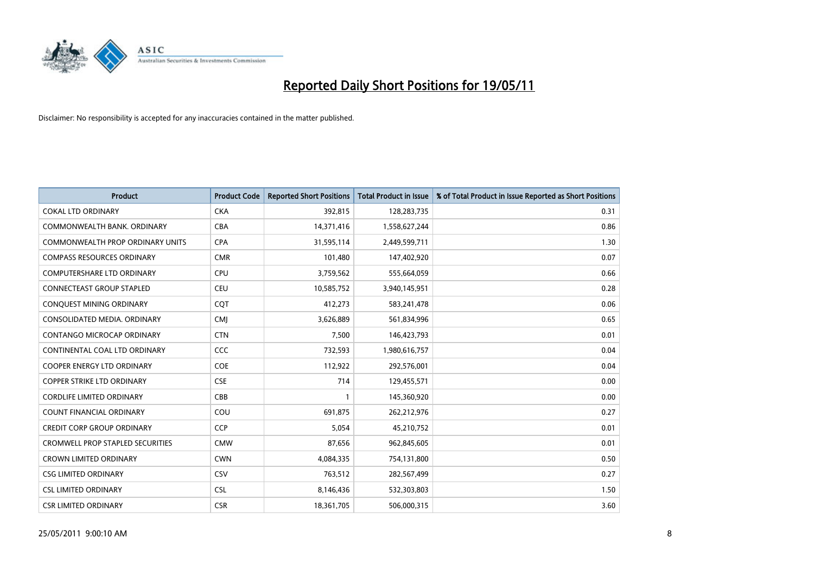

| <b>Product</b>                          | <b>Product Code</b> | <b>Reported Short Positions</b> | <b>Total Product in Issue</b> | % of Total Product in Issue Reported as Short Positions |
|-----------------------------------------|---------------------|---------------------------------|-------------------------------|---------------------------------------------------------|
| <b>COKAL LTD ORDINARY</b>               | <b>CKA</b>          | 392,815                         | 128,283,735                   | 0.31                                                    |
| COMMONWEALTH BANK, ORDINARY             | <b>CBA</b>          | 14,371,416                      | 1,558,627,244                 | 0.86                                                    |
| <b>COMMONWEALTH PROP ORDINARY UNITS</b> | <b>CPA</b>          | 31,595,114                      | 2,449,599,711                 | 1.30                                                    |
| <b>COMPASS RESOURCES ORDINARY</b>       | <b>CMR</b>          | 101,480                         | 147,402,920                   | 0.07                                                    |
| <b>COMPUTERSHARE LTD ORDINARY</b>       | CPU                 | 3,759,562                       | 555,664,059                   | 0.66                                                    |
| <b>CONNECTEAST GROUP STAPLED</b>        | <b>CEU</b>          | 10,585,752                      | 3,940,145,951                 | 0.28                                                    |
| CONQUEST MINING ORDINARY                | <b>COT</b>          | 412,273                         | 583,241,478                   | 0.06                                                    |
| CONSOLIDATED MEDIA, ORDINARY            | <b>CMI</b>          | 3,626,889                       | 561,834,996                   | 0.65                                                    |
| CONTANGO MICROCAP ORDINARY              | <b>CTN</b>          | 7,500                           | 146,423,793                   | 0.01                                                    |
| CONTINENTAL COAL LTD ORDINARY           | CCC                 | 732,593                         | 1,980,616,757                 | 0.04                                                    |
| <b>COOPER ENERGY LTD ORDINARY</b>       | <b>COE</b>          | 112,922                         | 292,576,001                   | 0.04                                                    |
| <b>COPPER STRIKE LTD ORDINARY</b>       | <b>CSE</b>          | 714                             | 129,455,571                   | 0.00                                                    |
| <b>CORDLIFE LIMITED ORDINARY</b>        | CBB                 |                                 | 145,360,920                   | 0.00                                                    |
| <b>COUNT FINANCIAL ORDINARY</b>         | COU                 | 691,875                         | 262,212,976                   | 0.27                                                    |
| <b>CREDIT CORP GROUP ORDINARY</b>       | <b>CCP</b>          | 5,054                           | 45,210,752                    | 0.01                                                    |
| <b>CROMWELL PROP STAPLED SECURITIES</b> | <b>CMW</b>          | 87,656                          | 962,845,605                   | 0.01                                                    |
| <b>CROWN LIMITED ORDINARY</b>           | <b>CWN</b>          | 4,084,335                       | 754,131,800                   | 0.50                                                    |
| <b>CSG LIMITED ORDINARY</b>             | CSV                 | 763,512                         | 282,567,499                   | 0.27                                                    |
| <b>CSL LIMITED ORDINARY</b>             | <b>CSL</b>          | 8,146,436                       | 532,303,803                   | 1.50                                                    |
| <b>CSR LIMITED ORDINARY</b>             | <b>CSR</b>          | 18,361,705                      | 506,000,315                   | 3.60                                                    |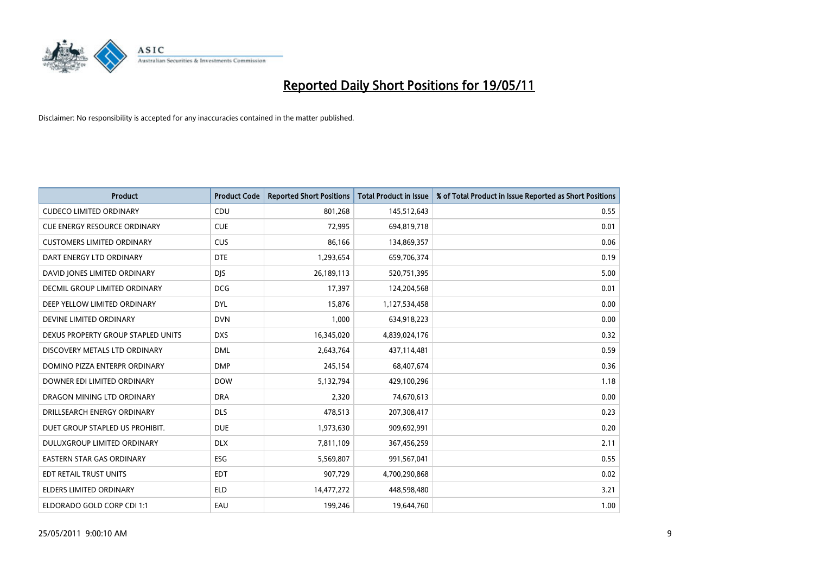

| <b>Product</b>                     | <b>Product Code</b> | <b>Reported Short Positions</b> | <b>Total Product in Issue</b> | % of Total Product in Issue Reported as Short Positions |
|------------------------------------|---------------------|---------------------------------|-------------------------------|---------------------------------------------------------|
| <b>CUDECO LIMITED ORDINARY</b>     | CDU                 | 801,268                         | 145,512,643                   | 0.55                                                    |
| CUE ENERGY RESOURCE ORDINARY       | <b>CUE</b>          | 72,995                          | 694,819,718                   | 0.01                                                    |
| <b>CUSTOMERS LIMITED ORDINARY</b>  | <b>CUS</b>          | 86,166                          | 134,869,357                   | 0.06                                                    |
| DART ENERGY LTD ORDINARY           | <b>DTE</b>          | 1,293,654                       | 659,706,374                   | 0.19                                                    |
| DAVID JONES LIMITED ORDINARY       | <b>DJS</b>          | 26,189,113                      | 520,751,395                   | 5.00                                                    |
| DECMIL GROUP LIMITED ORDINARY      | <b>DCG</b>          | 17,397                          | 124,204,568                   | 0.01                                                    |
| DEEP YELLOW LIMITED ORDINARY       | <b>DYL</b>          | 15.876                          | 1,127,534,458                 | 0.00                                                    |
| DEVINE LIMITED ORDINARY            | <b>DVN</b>          | 1,000                           | 634,918,223                   | 0.00                                                    |
| DEXUS PROPERTY GROUP STAPLED UNITS | <b>DXS</b>          | 16,345,020                      | 4,839,024,176                 | 0.32                                                    |
| DISCOVERY METALS LTD ORDINARY      | <b>DML</b>          | 2,643,764                       | 437,114,481                   | 0.59                                                    |
| DOMINO PIZZA ENTERPR ORDINARY      | <b>DMP</b>          | 245,154                         | 68,407,674                    | 0.36                                                    |
| DOWNER EDI LIMITED ORDINARY        | <b>DOW</b>          | 5,132,794                       | 429,100,296                   | 1.18                                                    |
| DRAGON MINING LTD ORDINARY         | <b>DRA</b>          | 2,320                           | 74,670,613                    | 0.00                                                    |
| DRILLSEARCH ENERGY ORDINARY        | <b>DLS</b>          | 478,513                         | 207,308,417                   | 0.23                                                    |
| DUET GROUP STAPLED US PROHIBIT.    | <b>DUE</b>          | 1,973,630                       | 909,692,991                   | 0.20                                                    |
| DULUXGROUP LIMITED ORDINARY        | <b>DLX</b>          | 7,811,109                       | 367,456,259                   | 2.11                                                    |
| <b>EASTERN STAR GAS ORDINARY</b>   | <b>ESG</b>          | 5,569,807                       | 991,567,041                   | 0.55                                                    |
| EDT RETAIL TRUST UNITS             | <b>EDT</b>          | 907,729                         | 4,700,290,868                 | 0.02                                                    |
| <b>ELDERS LIMITED ORDINARY</b>     | <b>ELD</b>          | 14,477,272                      | 448,598,480                   | 3.21                                                    |
| ELDORADO GOLD CORP CDI 1:1         | EAU                 | 199.246                         | 19,644,760                    | 1.00                                                    |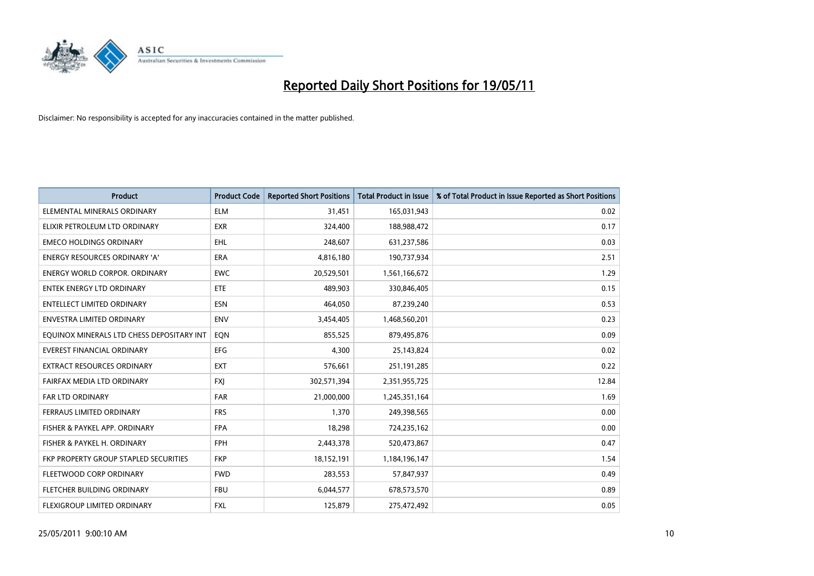

| <b>Product</b>                            | <b>Product Code</b> | <b>Reported Short Positions</b> | <b>Total Product in Issue</b> | % of Total Product in Issue Reported as Short Positions |
|-------------------------------------------|---------------------|---------------------------------|-------------------------------|---------------------------------------------------------|
| ELEMENTAL MINERALS ORDINARY               | <b>ELM</b>          | 31,451                          | 165,031,943                   | 0.02                                                    |
| ELIXIR PETROLEUM LTD ORDINARY             | <b>EXR</b>          | 324,400                         | 188,988,472                   | 0.17                                                    |
| <b>EMECO HOLDINGS ORDINARY</b>            | <b>EHL</b>          | 248.607                         | 631,237,586                   | 0.03                                                    |
| ENERGY RESOURCES ORDINARY 'A'             | <b>ERA</b>          | 4,816,180                       | 190,737,934                   | 2.51                                                    |
| <b>ENERGY WORLD CORPOR, ORDINARY</b>      | <b>EWC</b>          | 20,529,501                      | 1,561,166,672                 | 1.29                                                    |
| <b>ENTEK ENERGY LTD ORDINARY</b>          | ETE                 | 489,903                         | 330,846,405                   | 0.15                                                    |
| ENTELLECT LIMITED ORDINARY                | <b>ESN</b>          | 464,050                         | 87,239,240                    | 0.53                                                    |
| ENVESTRA LIMITED ORDINARY                 | <b>ENV</b>          | 3,454,405                       | 1,468,560,201                 | 0.23                                                    |
| EQUINOX MINERALS LTD CHESS DEPOSITARY INT | EON                 | 855,525                         | 879,495,876                   | 0.09                                                    |
| <b>EVEREST FINANCIAL ORDINARY</b>         | <b>EFG</b>          | 4,300                           | 25,143,824                    | 0.02                                                    |
| EXTRACT RESOURCES ORDINARY                | <b>EXT</b>          | 576,661                         | 251,191,285                   | 0.22                                                    |
| FAIRFAX MEDIA LTD ORDINARY                | <b>FXJ</b>          | 302,571,394                     | 2,351,955,725                 | 12.84                                                   |
| FAR LTD ORDINARY                          | FAR                 | 21,000,000                      | 1,245,351,164                 | 1.69                                                    |
| FERRAUS LIMITED ORDINARY                  | <b>FRS</b>          | 1,370                           | 249,398,565                   | 0.00                                                    |
| FISHER & PAYKEL APP. ORDINARY             | <b>FPA</b>          | 18,298                          | 724,235,162                   | 0.00                                                    |
| FISHER & PAYKEL H. ORDINARY               | <b>FPH</b>          | 2,443,378                       | 520,473,867                   | 0.47                                                    |
| FKP PROPERTY GROUP STAPLED SECURITIES     | <b>FKP</b>          | 18,152,191                      | 1,184,196,147                 | 1.54                                                    |
| FLEETWOOD CORP ORDINARY                   | <b>FWD</b>          | 283,553                         | 57,847,937                    | 0.49                                                    |
| FLETCHER BUILDING ORDINARY                | <b>FBU</b>          | 6,044,577                       | 678,573,570                   | 0.89                                                    |
| FLEXIGROUP LIMITED ORDINARY               | <b>FXL</b>          | 125,879                         | 275,472,492                   | 0.05                                                    |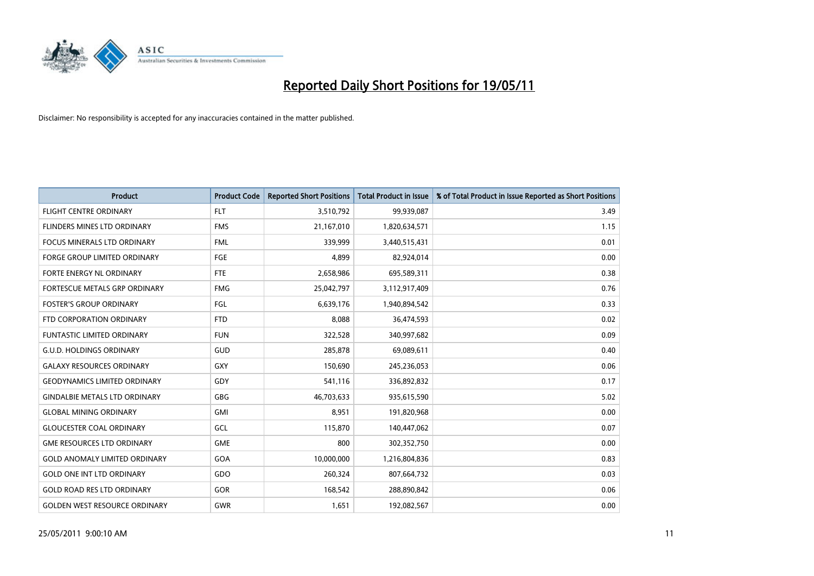

| <b>Product</b>                       | <b>Product Code</b> | <b>Reported Short Positions</b> | Total Product in Issue | % of Total Product in Issue Reported as Short Positions |
|--------------------------------------|---------------------|---------------------------------|------------------------|---------------------------------------------------------|
| <b>FLIGHT CENTRE ORDINARY</b>        | <b>FLT</b>          | 3,510,792                       | 99,939,087             | 3.49                                                    |
| FLINDERS MINES LTD ORDINARY          | <b>FMS</b>          | 21,167,010                      | 1,820,634,571          | 1.15                                                    |
| <b>FOCUS MINERALS LTD ORDINARY</b>   | <b>FML</b>          | 339,999                         | 3,440,515,431          | 0.01                                                    |
| FORGE GROUP LIMITED ORDINARY         | <b>FGE</b>          | 4,899                           | 82,924,014             | 0.00                                                    |
| FORTE ENERGY NL ORDINARY             | <b>FTE</b>          | 2,658,986                       | 695,589,311            | 0.38                                                    |
| FORTESCUE METALS GRP ORDINARY        | <b>FMG</b>          | 25,042,797                      | 3,112,917,409          | 0.76                                                    |
| <b>FOSTER'S GROUP ORDINARY</b>       | FGL                 | 6,639,176                       | 1,940,894,542          | 0.33                                                    |
| FTD CORPORATION ORDINARY             | <b>FTD</b>          | 8,088                           | 36,474,593             | 0.02                                                    |
| <b>FUNTASTIC LIMITED ORDINARY</b>    | <b>FUN</b>          | 322,528                         | 340,997,682            | 0.09                                                    |
| <b>G.U.D. HOLDINGS ORDINARY</b>      | <b>GUD</b>          | 285,878                         | 69,089,611             | 0.40                                                    |
| <b>GALAXY RESOURCES ORDINARY</b>     | GXY                 | 150,690                         | 245,236,053            | 0.06                                                    |
| <b>GEODYNAMICS LIMITED ORDINARY</b>  | GDY                 | 541,116                         | 336,892,832            | 0.17                                                    |
| <b>GINDALBIE METALS LTD ORDINARY</b> | <b>GBG</b>          | 46,703,633                      | 935,615,590            | 5.02                                                    |
| <b>GLOBAL MINING ORDINARY</b>        | GMI                 | 8,951                           | 191,820,968            | 0.00                                                    |
| <b>GLOUCESTER COAL ORDINARY</b>      | GCL                 | 115,870                         | 140,447,062            | 0.07                                                    |
| <b>GME RESOURCES LTD ORDINARY</b>    | <b>GME</b>          | 800                             | 302,352,750            | 0.00                                                    |
| <b>GOLD ANOMALY LIMITED ORDINARY</b> | GOA                 | 10,000,000                      | 1,216,804,836          | 0.83                                                    |
| <b>GOLD ONE INT LTD ORDINARY</b>     | GDO                 | 260,324                         | 807,664,732            | 0.03                                                    |
| <b>GOLD ROAD RES LTD ORDINARY</b>    | GOR                 | 168,542                         | 288,890,842            | 0.06                                                    |
| <b>GOLDEN WEST RESOURCE ORDINARY</b> | GWR                 | 1,651                           | 192,082,567            | 0.00                                                    |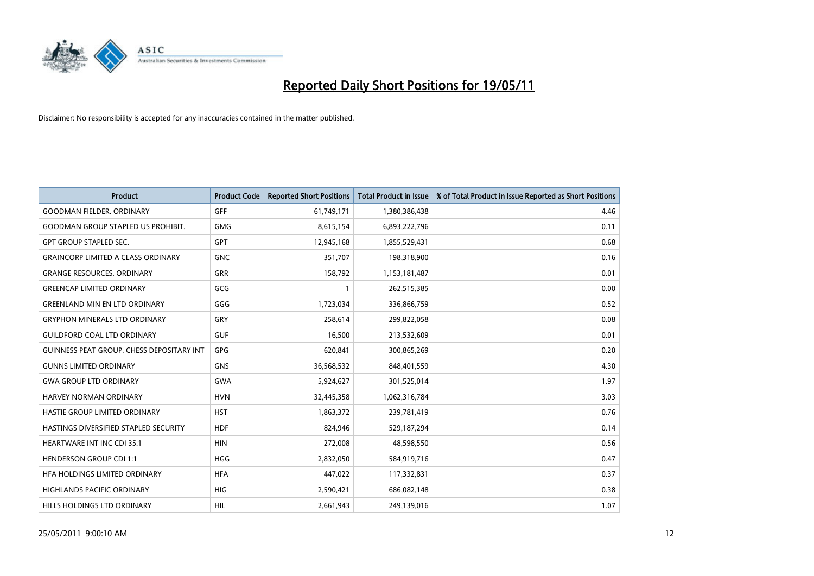

| <b>Product</b>                                   | <b>Product Code</b> | <b>Reported Short Positions</b> | <b>Total Product in Issue</b> | % of Total Product in Issue Reported as Short Positions |
|--------------------------------------------------|---------------------|---------------------------------|-------------------------------|---------------------------------------------------------|
| <b>GOODMAN FIELDER, ORDINARY</b>                 | <b>GFF</b>          | 61,749,171                      | 1,380,386,438                 | 4.46                                                    |
| <b>GOODMAN GROUP STAPLED US PROHIBIT.</b>        | <b>GMG</b>          | 8,615,154                       | 6,893,222,796                 | 0.11                                                    |
| <b>GPT GROUP STAPLED SEC.</b>                    | GPT                 | 12,945,168                      | 1,855,529,431                 | 0.68                                                    |
| <b>GRAINCORP LIMITED A CLASS ORDINARY</b>        | <b>GNC</b>          | 351,707                         | 198,318,900                   | 0.16                                                    |
| <b>GRANGE RESOURCES, ORDINARY</b>                | <b>GRR</b>          | 158,792                         | 1,153,181,487                 | 0.01                                                    |
| <b>GREENCAP LIMITED ORDINARY</b>                 | GCG                 |                                 | 262,515,385                   | 0.00                                                    |
| <b>GREENLAND MIN EN LTD ORDINARY</b>             | GGG                 | 1,723,034                       | 336,866,759                   | 0.52                                                    |
| <b>GRYPHON MINERALS LTD ORDINARY</b>             | GRY                 | 258,614                         | 299,822,058                   | 0.08                                                    |
| <b>GUILDFORD COAL LTD ORDINARY</b>               | <b>GUF</b>          | 16,500                          | 213,532,609                   | 0.01                                                    |
| <b>GUINNESS PEAT GROUP. CHESS DEPOSITARY INT</b> | GPG                 | 620,841                         | 300,865,269                   | 0.20                                                    |
| <b>GUNNS LIMITED ORDINARY</b>                    | <b>GNS</b>          | 36,568,532                      | 848,401,559                   | 4.30                                                    |
| <b>GWA GROUP LTD ORDINARY</b>                    | <b>GWA</b>          | 5,924,627                       | 301,525,014                   | 1.97                                                    |
| HARVEY NORMAN ORDINARY                           | <b>HVN</b>          | 32,445,358                      | 1,062,316,784                 | 3.03                                                    |
| HASTIE GROUP LIMITED ORDINARY                    | <b>HST</b>          | 1,863,372                       | 239,781,419                   | 0.76                                                    |
| HASTINGS DIVERSIFIED STAPLED SECURITY            | <b>HDF</b>          | 824,946                         | 529,187,294                   | 0.14                                                    |
| HEARTWARE INT INC CDI 35:1                       | <b>HIN</b>          | 272,008                         | 48,598,550                    | 0.56                                                    |
| <b>HENDERSON GROUP CDI 1:1</b>                   | <b>HGG</b>          | 2,832,050                       | 584,919,716                   | 0.47                                                    |
| HFA HOLDINGS LIMITED ORDINARY                    | <b>HFA</b>          | 447,022                         | 117,332,831                   | 0.37                                                    |
| <b>HIGHLANDS PACIFIC ORDINARY</b>                | <b>HIG</b>          | 2,590,421                       | 686,082,148                   | 0.38                                                    |
| HILLS HOLDINGS LTD ORDINARY                      | <b>HIL</b>          | 2,661,943                       | 249,139,016                   | 1.07                                                    |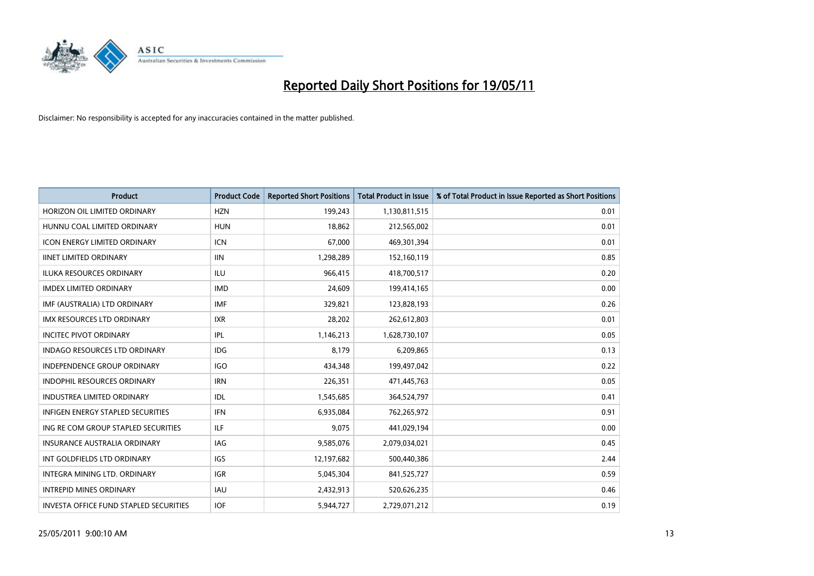

| <b>Product</b>                                | <b>Product Code</b> | <b>Reported Short Positions</b> | <b>Total Product in Issue</b> | % of Total Product in Issue Reported as Short Positions |
|-----------------------------------------------|---------------------|---------------------------------|-------------------------------|---------------------------------------------------------|
| HORIZON OIL LIMITED ORDINARY                  | <b>HZN</b>          | 199,243                         | 1,130,811,515                 | 0.01                                                    |
| HUNNU COAL LIMITED ORDINARY                   | <b>HUN</b>          | 18,862                          | 212,565,002                   | 0.01                                                    |
| <b>ICON ENERGY LIMITED ORDINARY</b>           | <b>ICN</b>          | 67,000                          | 469,301,394                   | 0.01                                                    |
| <b>IINET LIMITED ORDINARY</b>                 | <b>IIN</b>          | 1,298,289                       | 152,160,119                   | 0.85                                                    |
| <b>ILUKA RESOURCES ORDINARY</b>               | ILU                 | 966,415                         | 418,700,517                   | 0.20                                                    |
| <b>IMDEX LIMITED ORDINARY</b>                 | <b>IMD</b>          | 24,609                          | 199,414,165                   | 0.00                                                    |
| IMF (AUSTRALIA) LTD ORDINARY                  | <b>IMF</b>          | 329,821                         | 123,828,193                   | 0.26                                                    |
| IMX RESOURCES LTD ORDINARY                    | <b>IXR</b>          | 28,202                          | 262,612,803                   | 0.01                                                    |
| <b>INCITEC PIVOT ORDINARY</b>                 | <b>IPL</b>          | 1,146,213                       | 1,628,730,107                 | 0.05                                                    |
| <b>INDAGO RESOURCES LTD ORDINARY</b>          | <b>IDG</b>          | 8,179                           | 6,209,865                     | 0.13                                                    |
| <b>INDEPENDENCE GROUP ORDINARY</b>            | <b>IGO</b>          | 434,348                         | 199,497,042                   | 0.22                                                    |
| INDOPHIL RESOURCES ORDINARY                   | <b>IRN</b>          | 226,351                         | 471,445,763                   | 0.05                                                    |
| <b>INDUSTREA LIMITED ORDINARY</b>             | IDL                 | 1,545,685                       | 364,524,797                   | 0.41                                                    |
| <b>INFIGEN ENERGY STAPLED SECURITIES</b>      | <b>IFN</b>          | 6,935,084                       | 762,265,972                   | 0.91                                                    |
| ING RE COM GROUP STAPLED SECURITIES           | ILF                 | 9,075                           | 441,029,194                   | 0.00                                                    |
| INSURANCE AUSTRALIA ORDINARY                  | <b>IAG</b>          | 9,585,076                       | 2,079,034,021                 | 0.45                                                    |
| INT GOLDFIELDS LTD ORDINARY                   | <b>IGS</b>          | 12,197,682                      | 500,440,386                   | 2.44                                                    |
| INTEGRA MINING LTD. ORDINARY                  | <b>IGR</b>          | 5,045,304                       | 841,525,727                   | 0.59                                                    |
| <b>INTREPID MINES ORDINARY</b>                | <b>IAU</b>          | 2,432,913                       | 520,626,235                   | 0.46                                                    |
| <b>INVESTA OFFICE FUND STAPLED SECURITIES</b> | <b>IOF</b>          | 5,944,727                       | 2,729,071,212                 | 0.19                                                    |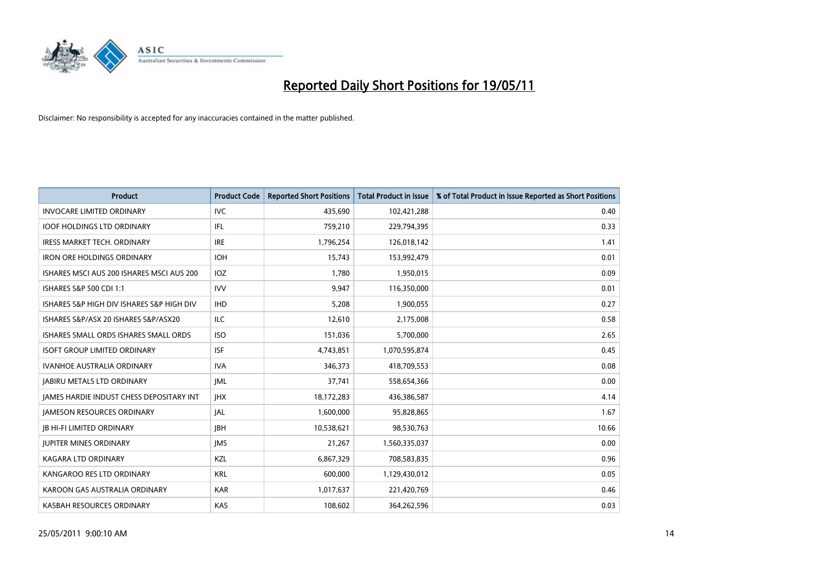

| <b>Product</b>                                  | <b>Product Code</b> | <b>Reported Short Positions</b> | <b>Total Product in Issue</b> | % of Total Product in Issue Reported as Short Positions |
|-------------------------------------------------|---------------------|---------------------------------|-------------------------------|---------------------------------------------------------|
| <b>INVOCARE LIMITED ORDINARY</b>                | <b>IVC</b>          | 435,690                         | 102,421,288                   | 0.40                                                    |
| <b>IOOF HOLDINGS LTD ORDINARY</b>               | IFL                 | 759,210                         | 229,794,395                   | 0.33                                                    |
| <b>IRESS MARKET TECH. ORDINARY</b>              | <b>IRE</b>          | 1,796,254                       | 126,018,142                   | 1.41                                                    |
| IRON ORE HOLDINGS ORDINARY                      | <b>IOH</b>          | 15,743                          | 153,992,479                   | 0.01                                                    |
| ISHARES MSCI AUS 200 ISHARES MSCI AUS 200       | <b>IOZ</b>          | 1,780                           | 1,950,015                     | 0.09                                                    |
| ISHARES S&P 500 CDI 1:1                         | <b>IVV</b>          | 9,947                           | 116,350,000                   | 0.01                                                    |
| ISHARES S&P HIGH DIV ISHARES S&P HIGH DIV       | <b>IHD</b>          | 5,208                           | 1,900,055                     | 0.27                                                    |
| ISHARES S&P/ASX 20 ISHARES S&P/ASX20            | ILC                 | 12,610                          | 2,175,008                     | 0.58                                                    |
| ISHARES SMALL ORDS ISHARES SMALL ORDS           | <b>ISO</b>          | 151,036                         | 5,700,000                     | 2.65                                                    |
| <b>ISOFT GROUP LIMITED ORDINARY</b>             | <b>ISF</b>          | 4,743,851                       | 1,070,595,874                 | 0.45                                                    |
| IVANHOE AUSTRALIA ORDINARY                      | <b>IVA</b>          | 346,373                         | 418,709,553                   | 0.08                                                    |
| <b>JABIRU METALS LTD ORDINARY</b>               | <b>JML</b>          | 37,741                          | 558,654,366                   | 0.00                                                    |
| <b>JAMES HARDIE INDUST CHESS DEPOSITARY INT</b> | <b>IHX</b>          | 18,172,283                      | 436,386,587                   | 4.14                                                    |
| <b>JAMESON RESOURCES ORDINARY</b>               | <b>JAL</b>          | 1,600,000                       | 95,828,865                    | 1.67                                                    |
| <b>JB HI-FI LIMITED ORDINARY</b>                | <b>IBH</b>          | 10,538,621                      | 98,530,763                    | 10.66                                                   |
| <b>JUPITER MINES ORDINARY</b>                   | <b>IMS</b>          | 21,267                          | 1,560,335,037                 | 0.00                                                    |
| KAGARA LTD ORDINARY                             | KZL                 | 6,867,329                       | 708,583,835                   | 0.96                                                    |
| KANGAROO RES LTD ORDINARY                       | <b>KRL</b>          | 600,000                         | 1,129,430,012                 | 0.05                                                    |
| KAROON GAS AUSTRALIA ORDINARY                   | <b>KAR</b>          | 1,017,637                       | 221,420,769                   | 0.46                                                    |
| KASBAH RESOURCES ORDINARY                       | <b>KAS</b>          | 108,602                         | 364,262,596                   | 0.03                                                    |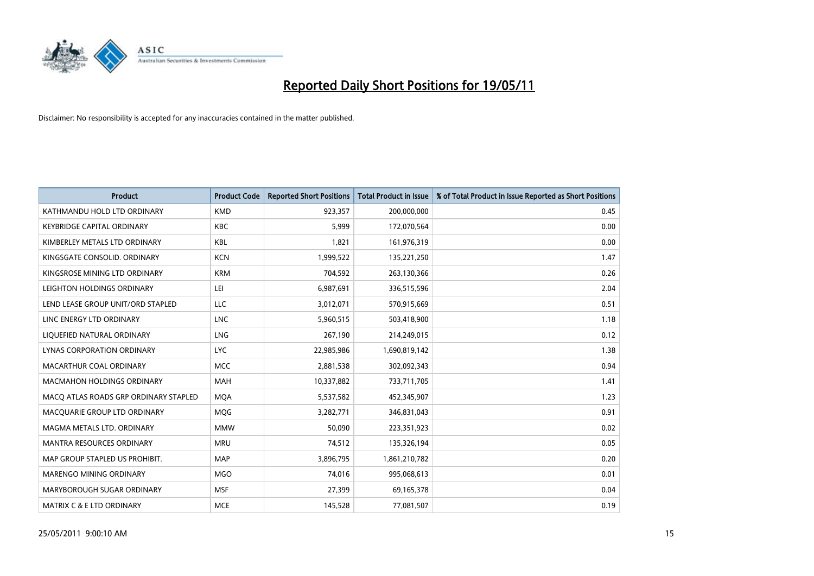

| <b>Product</b>                        | <b>Product Code</b> | <b>Reported Short Positions</b> | Total Product in Issue | % of Total Product in Issue Reported as Short Positions |
|---------------------------------------|---------------------|---------------------------------|------------------------|---------------------------------------------------------|
| KATHMANDU HOLD LTD ORDINARY           | <b>KMD</b>          | 923,357                         | 200,000,000            | 0.45                                                    |
| <b>KEYBRIDGE CAPITAL ORDINARY</b>     | <b>KBC</b>          | 5,999                           | 172,070,564            | 0.00                                                    |
| KIMBERLEY METALS LTD ORDINARY         | <b>KBL</b>          | 1.821                           | 161,976,319            | 0.00                                                    |
| KINGSGATE CONSOLID. ORDINARY          | <b>KCN</b>          | 1,999,522                       | 135,221,250            | 1.47                                                    |
| KINGSROSE MINING LTD ORDINARY         | <b>KRM</b>          | 704,592                         | 263,130,366            | 0.26                                                    |
| LEIGHTON HOLDINGS ORDINARY            | LEI                 | 6,987,691                       | 336,515,596            | 2.04                                                    |
| LEND LEASE GROUP UNIT/ORD STAPLED     | LLC                 | 3,012,071                       | 570,915,669            | 0.51                                                    |
| LINC ENERGY LTD ORDINARY              | <b>LNC</b>          | 5,960,515                       | 503,418,900            | 1.18                                                    |
| LIQUEFIED NATURAL ORDINARY            | LNG                 | 267,190                         | 214,249,015            | 0.12                                                    |
| <b>LYNAS CORPORATION ORDINARY</b>     | <b>LYC</b>          | 22,985,986                      | 1,690,819,142          | 1.38                                                    |
| MACARTHUR COAL ORDINARY               | <b>MCC</b>          | 2,881,538                       | 302,092,343            | 0.94                                                    |
| <b>MACMAHON HOLDINGS ORDINARY</b>     | <b>MAH</b>          | 10,337,882                      | 733,711,705            | 1.41                                                    |
| MACO ATLAS ROADS GRP ORDINARY STAPLED | <b>MOA</b>          | 5,537,582                       | 452,345,907            | 1.23                                                    |
| MACQUARIE GROUP LTD ORDINARY          | <b>MOG</b>          | 3,282,771                       | 346,831,043            | 0.91                                                    |
| MAGMA METALS LTD. ORDINARY            | <b>MMW</b>          | 50,090                          | 223,351,923            | 0.02                                                    |
| MANTRA RESOURCES ORDINARY             | <b>MRU</b>          | 74,512                          | 135,326,194            | 0.05                                                    |
| MAP GROUP STAPLED US PROHIBIT.        | <b>MAP</b>          | 3,896,795                       | 1,861,210,782          | 0.20                                                    |
| MARENGO MINING ORDINARY               | <b>MGO</b>          | 74,016                          | 995,068,613            | 0.01                                                    |
| MARYBOROUGH SUGAR ORDINARY            | <b>MSF</b>          | 27,399                          | 69,165,378             | 0.04                                                    |
| MATRIX C & E LTD ORDINARY             | <b>MCE</b>          | 145,528                         | 77,081,507             | 0.19                                                    |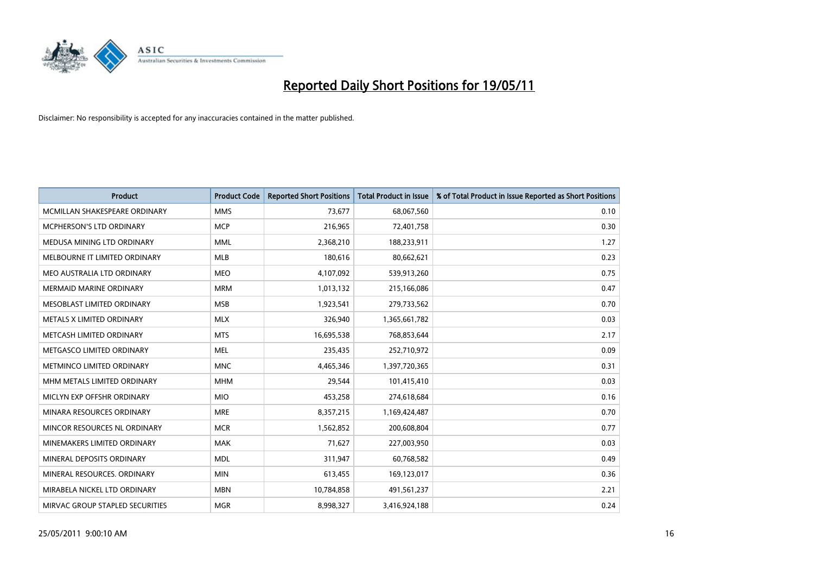

| <b>Product</b>                  | <b>Product Code</b> | <b>Reported Short Positions</b> | <b>Total Product in Issue</b> | % of Total Product in Issue Reported as Short Positions |
|---------------------------------|---------------------|---------------------------------|-------------------------------|---------------------------------------------------------|
| MCMILLAN SHAKESPEARE ORDINARY   | <b>MMS</b>          | 73.677                          | 68,067,560                    | 0.10                                                    |
| MCPHERSON'S LTD ORDINARY        | <b>MCP</b>          | 216,965                         | 72,401,758                    | 0.30                                                    |
| MEDUSA MINING LTD ORDINARY      | <b>MML</b>          | 2,368,210                       | 188,233,911                   | 1.27                                                    |
| MELBOURNE IT LIMITED ORDINARY   | <b>MLB</b>          | 180,616                         | 80,662,621                    | 0.23                                                    |
| MEO AUSTRALIA LTD ORDINARY      | <b>MEO</b>          | 4,107,092                       | 539,913,260                   | 0.75                                                    |
| MERMAID MARINE ORDINARY         | <b>MRM</b>          | 1,013,132                       | 215,166,086                   | 0.47                                                    |
| MESOBLAST LIMITED ORDINARY      | <b>MSB</b>          | 1,923,541                       | 279,733,562                   | 0.70                                                    |
| METALS X LIMITED ORDINARY       | <b>MLX</b>          | 326,940                         | 1,365,661,782                 | 0.03                                                    |
| METCASH LIMITED ORDINARY        | <b>MTS</b>          | 16,695,538                      | 768,853,644                   | 2.17                                                    |
| METGASCO LIMITED ORDINARY       | <b>MEL</b>          | 235,435                         | 252,710,972                   | 0.09                                                    |
| METMINCO LIMITED ORDINARY       | <b>MNC</b>          | 4,465,346                       | 1,397,720,365                 | 0.31                                                    |
| MHM METALS LIMITED ORDINARY     | <b>MHM</b>          | 29,544                          | 101,415,410                   | 0.03                                                    |
| MICLYN EXP OFFSHR ORDINARY      | <b>MIO</b>          | 453,258                         | 274,618,684                   | 0.16                                                    |
| MINARA RESOURCES ORDINARY       | <b>MRE</b>          | 8,357,215                       | 1,169,424,487                 | 0.70                                                    |
| MINCOR RESOURCES NL ORDINARY    | <b>MCR</b>          | 1,562,852                       | 200,608,804                   | 0.77                                                    |
| MINEMAKERS LIMITED ORDINARY     | <b>MAK</b>          | 71,627                          | 227,003,950                   | 0.03                                                    |
| MINERAL DEPOSITS ORDINARY       | <b>MDL</b>          | 311,947                         | 60,768,582                    | 0.49                                                    |
| MINERAL RESOURCES. ORDINARY     | <b>MIN</b>          | 613,455                         | 169,123,017                   | 0.36                                                    |
| MIRABELA NICKEL LTD ORDINARY    | <b>MBN</b>          | 10,784,858                      | 491,561,237                   | 2.21                                                    |
| MIRVAC GROUP STAPLED SECURITIES | <b>MGR</b>          | 8,998,327                       | 3,416,924,188                 | 0.24                                                    |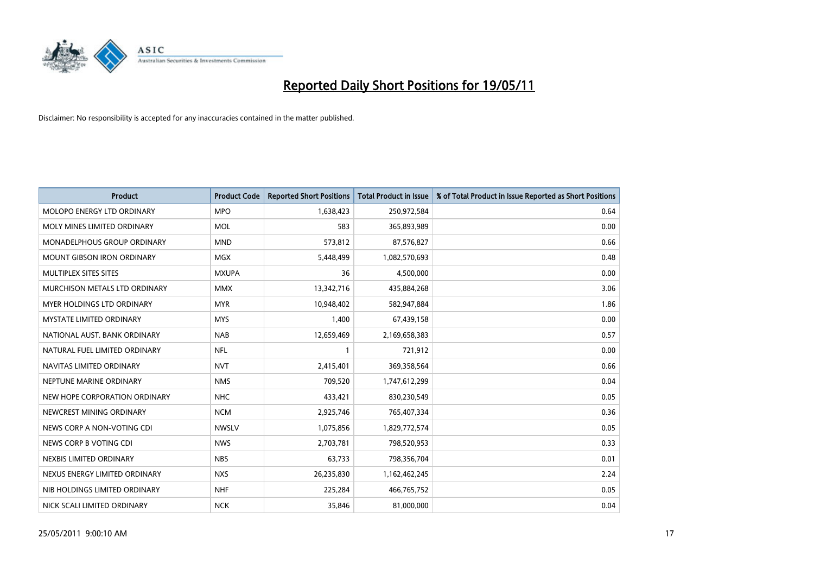

| <b>Product</b>                    | <b>Product Code</b> | <b>Reported Short Positions</b> | <b>Total Product in Issue</b> | % of Total Product in Issue Reported as Short Positions |
|-----------------------------------|---------------------|---------------------------------|-------------------------------|---------------------------------------------------------|
| MOLOPO ENERGY LTD ORDINARY        | <b>MPO</b>          | 1,638,423                       | 250,972,584                   | 0.64                                                    |
| MOLY MINES LIMITED ORDINARY       | <b>MOL</b>          | 583                             | 365,893,989                   | 0.00                                                    |
| MONADELPHOUS GROUP ORDINARY       | <b>MND</b>          | 573,812                         | 87,576,827                    | 0.66                                                    |
| <b>MOUNT GIBSON IRON ORDINARY</b> | <b>MGX</b>          | 5,448,499                       | 1,082,570,693                 | 0.48                                                    |
| <b>MULTIPLEX SITES SITES</b>      | <b>MXUPA</b>        | 36                              | 4,500,000                     | 0.00                                                    |
| MURCHISON METALS LTD ORDINARY     | <b>MMX</b>          | 13,342,716                      | 435,884,268                   | 3.06                                                    |
| <b>MYER HOLDINGS LTD ORDINARY</b> | <b>MYR</b>          | 10,948,402                      | 582,947,884                   | 1.86                                                    |
| <b>MYSTATE LIMITED ORDINARY</b>   | <b>MYS</b>          | 1,400                           | 67,439,158                    | 0.00                                                    |
| NATIONAL AUST. BANK ORDINARY      | <b>NAB</b>          | 12,659,469                      | 2,169,658,383                 | 0.57                                                    |
| NATURAL FUEL LIMITED ORDINARY     | <b>NFL</b>          |                                 | 721,912                       | 0.00                                                    |
| NAVITAS LIMITED ORDINARY          | <b>NVT</b>          | 2,415,401                       | 369,358,564                   | 0.66                                                    |
| NEPTUNE MARINE ORDINARY           | <b>NMS</b>          | 709,520                         | 1,747,612,299                 | 0.04                                                    |
| NEW HOPE CORPORATION ORDINARY     | <b>NHC</b>          | 433,421                         | 830,230,549                   | 0.05                                                    |
| NEWCREST MINING ORDINARY          | <b>NCM</b>          | 2,925,746                       | 765,407,334                   | 0.36                                                    |
| NEWS CORP A NON-VOTING CDI        | <b>NWSLV</b>        | 1,075,856                       | 1,829,772,574                 | 0.05                                                    |
| NEWS CORP B VOTING CDI            | <b>NWS</b>          | 2,703,781                       | 798,520,953                   | 0.33                                                    |
| NEXBIS LIMITED ORDINARY           | <b>NBS</b>          | 63,733                          | 798,356,704                   | 0.01                                                    |
| NEXUS ENERGY LIMITED ORDINARY     | <b>NXS</b>          | 26,235,830                      | 1,162,462,245                 | 2.24                                                    |
| NIB HOLDINGS LIMITED ORDINARY     | <b>NHF</b>          | 225,284                         | 466,765,752                   | 0.05                                                    |
| NICK SCALI LIMITED ORDINARY       | <b>NCK</b>          | 35,846                          | 81,000,000                    | 0.04                                                    |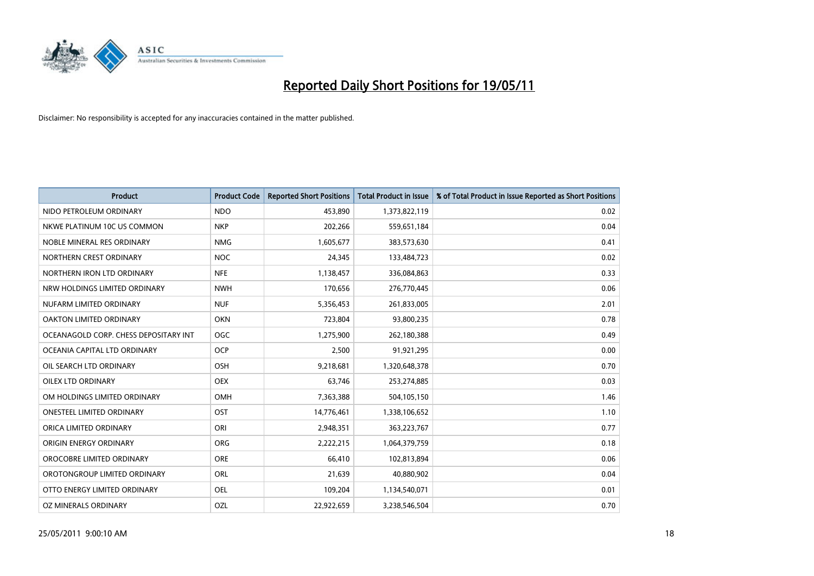

| <b>Product</b>                        | <b>Product Code</b> | <b>Reported Short Positions</b> | <b>Total Product in Issue</b> | % of Total Product in Issue Reported as Short Positions |
|---------------------------------------|---------------------|---------------------------------|-------------------------------|---------------------------------------------------------|
| NIDO PETROLEUM ORDINARY               | <b>NDO</b>          | 453.890                         | 1,373,822,119                 | 0.02                                                    |
| NKWE PLATINUM 10C US COMMON           | <b>NKP</b>          | 202,266                         | 559,651,184                   | 0.04                                                    |
| NOBLE MINERAL RES ORDINARY            | <b>NMG</b>          | 1,605,677                       | 383,573,630                   | 0.41                                                    |
| NORTHERN CREST ORDINARY               | <b>NOC</b>          | 24,345                          | 133,484,723                   | 0.02                                                    |
| NORTHERN IRON LTD ORDINARY            | <b>NFE</b>          | 1,138,457                       | 336,084,863                   | 0.33                                                    |
| NRW HOLDINGS LIMITED ORDINARY         | <b>NWH</b>          | 170,656                         | 276,770,445                   | 0.06                                                    |
| NUFARM LIMITED ORDINARY               | <b>NUF</b>          | 5,356,453                       | 261,833,005                   | 2.01                                                    |
| <b>OAKTON LIMITED ORDINARY</b>        | <b>OKN</b>          | 723,804                         | 93,800,235                    | 0.78                                                    |
| OCEANAGOLD CORP. CHESS DEPOSITARY INT | OGC                 | 1,275,900                       | 262,180,388                   | 0.49                                                    |
| OCEANIA CAPITAL LTD ORDINARY          | OCP                 | 2,500                           | 91,921,295                    | 0.00                                                    |
| OIL SEARCH LTD ORDINARY               | <b>OSH</b>          | 9,218,681                       | 1,320,648,378                 | 0.70                                                    |
| <b>OILEX LTD ORDINARY</b>             | <b>OEX</b>          | 63,746                          | 253,274,885                   | 0.03                                                    |
| OM HOLDINGS LIMITED ORDINARY          | OMH                 | 7,363,388                       | 504,105,150                   | 1.46                                                    |
| <b>ONESTEEL LIMITED ORDINARY</b>      | OST                 | 14,776,461                      | 1,338,106,652                 | 1.10                                                    |
| ORICA LIMITED ORDINARY                | ORI                 | 2,948,351                       | 363,223,767                   | 0.77                                                    |
| ORIGIN ENERGY ORDINARY                | <b>ORG</b>          | 2,222,215                       | 1,064,379,759                 | 0.18                                                    |
| OROCOBRE LIMITED ORDINARY             | <b>ORE</b>          | 66,410                          | 102,813,894                   | 0.06                                                    |
| OROTONGROUP LIMITED ORDINARY          | <b>ORL</b>          | 21,639                          | 40,880,902                    | 0.04                                                    |
| OTTO ENERGY LIMITED ORDINARY          | <b>OEL</b>          | 109,204                         | 1,134,540,071                 | 0.01                                                    |
| OZ MINERALS ORDINARY                  | OZL                 | 22.922.659                      | 3,238,546,504                 | 0.70                                                    |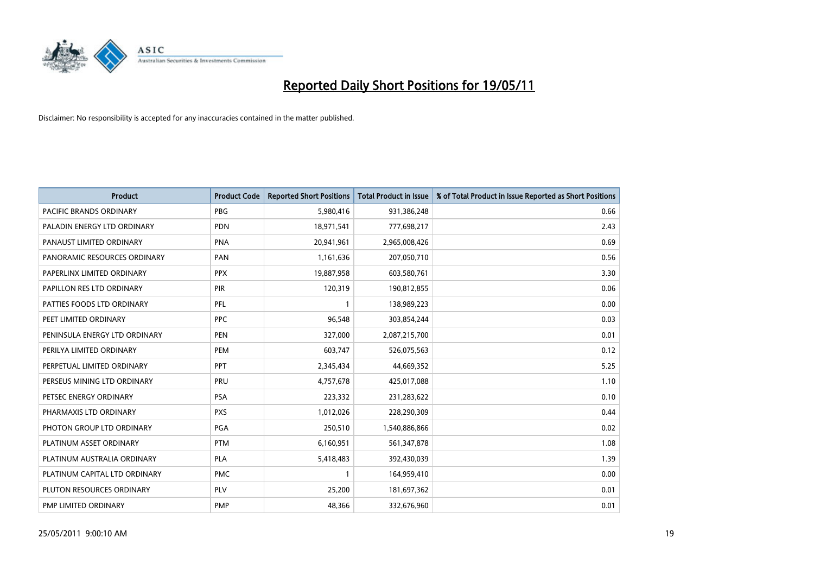

| <b>Product</b>                | <b>Product Code</b> | <b>Reported Short Positions</b> | <b>Total Product in Issue</b> | % of Total Product in Issue Reported as Short Positions |
|-------------------------------|---------------------|---------------------------------|-------------------------------|---------------------------------------------------------|
| PACIFIC BRANDS ORDINARY       | <b>PBG</b>          | 5,980,416                       | 931,386,248                   | 0.66                                                    |
| PALADIN ENERGY LTD ORDINARY   | <b>PDN</b>          | 18,971,541                      | 777,698,217                   | 2.43                                                    |
| PANAUST LIMITED ORDINARY      | <b>PNA</b>          | 20,941,961                      | 2,965,008,426                 | 0.69                                                    |
| PANORAMIC RESOURCES ORDINARY  | PAN                 | 1,161,636                       | 207,050,710                   | 0.56                                                    |
| PAPERLINX LIMITED ORDINARY    | <b>PPX</b>          | 19,887,958                      | 603,580,761                   | 3.30                                                    |
| PAPILLON RES LTD ORDINARY     | <b>PIR</b>          | 120,319                         | 190,812,855                   | 0.06                                                    |
| PATTIES FOODS LTD ORDINARY    | PFL                 |                                 | 138,989,223                   | 0.00                                                    |
| PEET LIMITED ORDINARY         | <b>PPC</b>          | 96,548                          | 303,854,244                   | 0.03                                                    |
| PENINSULA ENERGY LTD ORDINARY | <b>PEN</b>          | 327,000                         | 2,087,215,700                 | 0.01                                                    |
| PERILYA LIMITED ORDINARY      | PEM                 | 603,747                         | 526,075,563                   | 0.12                                                    |
| PERPETUAL LIMITED ORDINARY    | PPT                 | 2,345,434                       | 44,669,352                    | 5.25                                                    |
| PERSEUS MINING LTD ORDINARY   | PRU                 | 4,757,678                       | 425,017,088                   | 1.10                                                    |
| PETSEC ENERGY ORDINARY        | <b>PSA</b>          | 223,332                         | 231,283,622                   | 0.10                                                    |
| PHARMAXIS LTD ORDINARY        | <b>PXS</b>          | 1,012,026                       | 228,290,309                   | 0.44                                                    |
| PHOTON GROUP LTD ORDINARY     | <b>PGA</b>          | 250,510                         | 1,540,886,866                 | 0.02                                                    |
| PLATINUM ASSET ORDINARY       | <b>PTM</b>          | 6,160,951                       | 561,347,878                   | 1.08                                                    |
| PLATINUM AUSTRALIA ORDINARY   | <b>PLA</b>          | 5,418,483                       | 392,430,039                   | 1.39                                                    |
| PLATINUM CAPITAL LTD ORDINARY | <b>PMC</b>          |                                 | 164,959,410                   | 0.00                                                    |
| PLUTON RESOURCES ORDINARY     | <b>PLV</b>          | 25,200                          | 181,697,362                   | 0.01                                                    |
| PMP LIMITED ORDINARY          | <b>PMP</b>          | 48,366                          | 332,676,960                   | 0.01                                                    |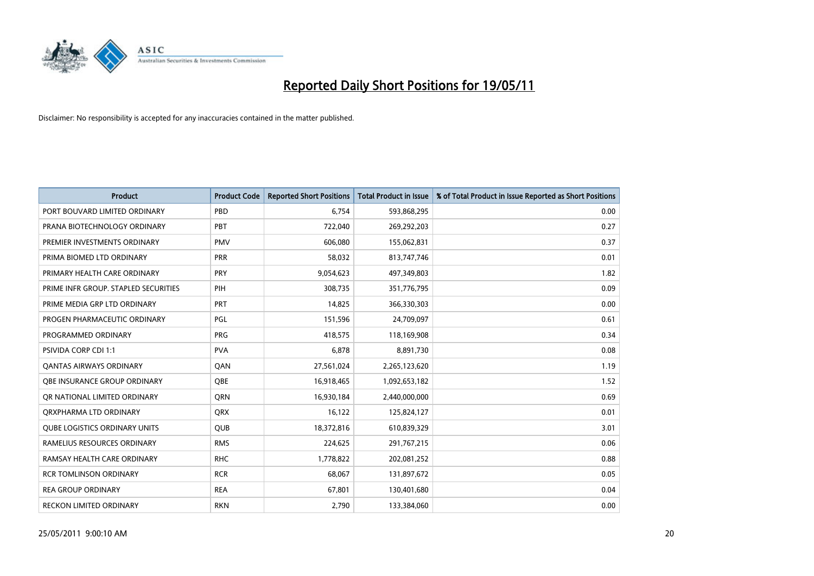

| <b>Product</b>                       | <b>Product Code</b> | <b>Reported Short Positions</b> | <b>Total Product in Issue</b> | % of Total Product in Issue Reported as Short Positions |
|--------------------------------------|---------------------|---------------------------------|-------------------------------|---------------------------------------------------------|
| PORT BOUVARD LIMITED ORDINARY        | PBD                 | 6.754                           | 593,868,295                   | 0.00                                                    |
| PRANA BIOTECHNOLOGY ORDINARY         | PBT                 | 722,040                         | 269,292,203                   | 0.27                                                    |
| PREMIER INVESTMENTS ORDINARY         | <b>PMV</b>          | 606,080                         | 155,062,831                   | 0.37                                                    |
| PRIMA BIOMED LTD ORDINARY            | <b>PRR</b>          | 58,032                          | 813,747,746                   | 0.01                                                    |
| PRIMARY HEALTH CARE ORDINARY         | <b>PRY</b>          | 9,054,623                       | 497,349,803                   | 1.82                                                    |
| PRIME INFR GROUP. STAPLED SECURITIES | PIH                 | 308,735                         | 351,776,795                   | 0.09                                                    |
| PRIME MEDIA GRP LTD ORDINARY         | PRT                 | 14,825                          | 366,330,303                   | 0.00                                                    |
| PROGEN PHARMACEUTIC ORDINARY         | <b>PGL</b>          | 151,596                         | 24,709,097                    | 0.61                                                    |
| PROGRAMMED ORDINARY                  | <b>PRG</b>          | 418,575                         | 118,169,908                   | 0.34                                                    |
| <b>PSIVIDA CORP CDI 1:1</b>          | <b>PVA</b>          | 6,878                           | 8,891,730                     | 0.08                                                    |
| <b>QANTAS AIRWAYS ORDINARY</b>       | <b>OAN</b>          | 27,561,024                      | 2,265,123,620                 | 1.19                                                    |
| <b>OBE INSURANCE GROUP ORDINARY</b>  | <b>OBE</b>          | 16,918,465                      | 1,092,653,182                 | 1.52                                                    |
| OR NATIONAL LIMITED ORDINARY         | <b>ORN</b>          | 16,930,184                      | 2,440,000,000                 | 0.69                                                    |
| ORXPHARMA LTD ORDINARY               | <b>ORX</b>          | 16,122                          | 125,824,127                   | 0.01                                                    |
| <b>OUBE LOGISTICS ORDINARY UNITS</b> | <b>OUB</b>          | 18,372,816                      | 610,839,329                   | 3.01                                                    |
| RAMELIUS RESOURCES ORDINARY          | <b>RMS</b>          | 224,625                         | 291,767,215                   | 0.06                                                    |
| RAMSAY HEALTH CARE ORDINARY          | <b>RHC</b>          | 1,778,822                       | 202,081,252                   | 0.88                                                    |
| <b>RCR TOMLINSON ORDINARY</b>        | <b>RCR</b>          | 68,067                          | 131,897,672                   | 0.05                                                    |
| <b>REA GROUP ORDINARY</b>            | <b>REA</b>          | 67,801                          | 130,401,680                   | 0.04                                                    |
| RECKON LIMITED ORDINARY              | <b>RKN</b>          | 2,790                           | 133,384,060                   | 0.00                                                    |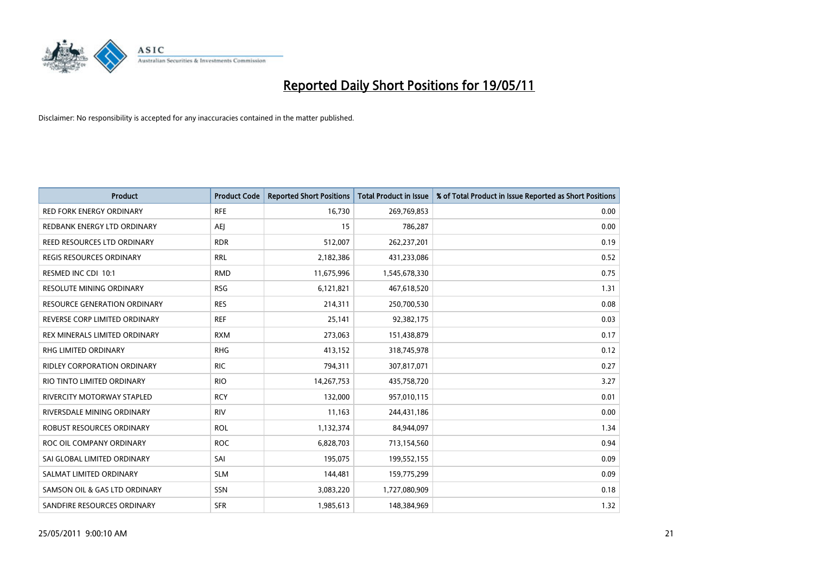

| <b>Product</b>                      | <b>Product Code</b> | <b>Reported Short Positions</b> | Total Product in Issue | % of Total Product in Issue Reported as Short Positions |
|-------------------------------------|---------------------|---------------------------------|------------------------|---------------------------------------------------------|
| <b>RED FORK ENERGY ORDINARY</b>     | <b>RFE</b>          | 16,730                          | 269,769,853            | 0.00                                                    |
| REDBANK ENERGY LTD ORDINARY         | <b>AEI</b>          | 15                              | 786,287                | 0.00                                                    |
| REED RESOURCES LTD ORDINARY         | <b>RDR</b>          | 512,007                         | 262,237,201            | 0.19                                                    |
| REGIS RESOURCES ORDINARY            | <b>RRL</b>          | 2,182,386                       | 431,233,086            | 0.52                                                    |
| RESMED INC CDI 10:1                 | <b>RMD</b>          | 11,675,996                      | 1,545,678,330          | 0.75                                                    |
| <b>RESOLUTE MINING ORDINARY</b>     | <b>RSG</b>          | 6,121,821                       | 467,618,520            | 1.31                                                    |
| <b>RESOURCE GENERATION ORDINARY</b> | <b>RES</b>          | 214,311                         | 250,700,530            | 0.08                                                    |
| REVERSE CORP LIMITED ORDINARY       | <b>REF</b>          | 25,141                          | 92,382,175             | 0.03                                                    |
| REX MINERALS LIMITED ORDINARY       | <b>RXM</b>          | 273,063                         | 151,438,879            | 0.17                                                    |
| <b>RHG LIMITED ORDINARY</b>         | <b>RHG</b>          | 413,152                         | 318,745,978            | 0.12                                                    |
| RIDLEY CORPORATION ORDINARY         | <b>RIC</b>          | 794,311                         | 307,817,071            | 0.27                                                    |
| RIO TINTO LIMITED ORDINARY          | <b>RIO</b>          | 14,267,753                      | 435,758,720            | 3.27                                                    |
| RIVERCITY MOTORWAY STAPLED          | <b>RCY</b>          | 132,000                         | 957,010,115            | 0.01                                                    |
| RIVERSDALE MINING ORDINARY          | <b>RIV</b>          | 11,163                          | 244,431,186            | 0.00                                                    |
| <b>ROBUST RESOURCES ORDINARY</b>    | <b>ROL</b>          | 1,132,374                       | 84,944,097             | 1.34                                                    |
| ROC OIL COMPANY ORDINARY            | <b>ROC</b>          | 6,828,703                       | 713,154,560            | 0.94                                                    |
| SAI GLOBAL LIMITED ORDINARY         | SAI                 | 195,075                         | 199,552,155            | 0.09                                                    |
| SALMAT LIMITED ORDINARY             | <b>SLM</b>          | 144,481                         | 159,775,299            | 0.09                                                    |
| SAMSON OIL & GAS LTD ORDINARY       | SSN                 | 3,083,220                       | 1,727,080,909          | 0.18                                                    |
| SANDFIRE RESOURCES ORDINARY         | <b>SFR</b>          | 1,985,613                       | 148,384,969            | 1.32                                                    |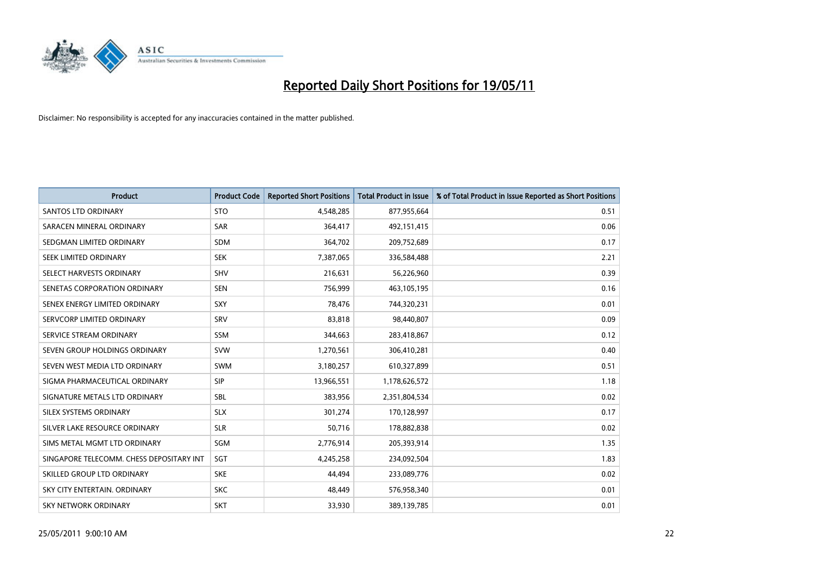

| <b>Product</b>                           | <b>Product Code</b> | <b>Reported Short Positions</b> | Total Product in Issue | % of Total Product in Issue Reported as Short Positions |
|------------------------------------------|---------------------|---------------------------------|------------------------|---------------------------------------------------------|
| <b>SANTOS LTD ORDINARY</b>               | <b>STO</b>          | 4,548,285                       | 877,955,664            | 0.51                                                    |
| SARACEN MINERAL ORDINARY                 | <b>SAR</b>          | 364,417                         | 492,151,415            | 0.06                                                    |
| SEDGMAN LIMITED ORDINARY                 | SDM                 | 364,702                         | 209,752,689            | 0.17                                                    |
| SEEK LIMITED ORDINARY                    | <b>SEK</b>          | 7,387,065                       | 336,584,488            | 2.21                                                    |
| SELECT HARVESTS ORDINARY                 | <b>SHV</b>          | 216,631                         | 56,226,960             | 0.39                                                    |
| SENETAS CORPORATION ORDINARY             | <b>SEN</b>          | 756,999                         | 463,105,195            | 0.16                                                    |
| SENEX ENERGY LIMITED ORDINARY            | SXY                 | 78,476                          | 744,320,231            | 0.01                                                    |
| SERVCORP LIMITED ORDINARY                | SRV                 | 83,818                          | 98,440,807             | 0.09                                                    |
| SERVICE STREAM ORDINARY                  | <b>SSM</b>          | 344,663                         | 283,418,867            | 0.12                                                    |
| SEVEN GROUP HOLDINGS ORDINARY            | <b>SVW</b>          | 1,270,561                       | 306,410,281            | 0.40                                                    |
| SEVEN WEST MEDIA LTD ORDINARY            | <b>SWM</b>          | 3,180,257                       | 610,327,899            | 0.51                                                    |
| SIGMA PHARMACEUTICAL ORDINARY            | <b>SIP</b>          | 13,966,551                      | 1,178,626,572          | 1.18                                                    |
| SIGNATURE METALS LTD ORDINARY            | <b>SBL</b>          | 383,956                         | 2,351,804,534          | 0.02                                                    |
| SILEX SYSTEMS ORDINARY                   | <b>SLX</b>          | 301,274                         | 170,128,997            | 0.17                                                    |
| SILVER LAKE RESOURCE ORDINARY            | <b>SLR</b>          | 50,716                          | 178,882,838            | 0.02                                                    |
| SIMS METAL MGMT LTD ORDINARY             | SGM                 | 2,776,914                       | 205,393,914            | 1.35                                                    |
| SINGAPORE TELECOMM. CHESS DEPOSITARY INT | SGT                 | 4,245,258                       | 234,092,504            | 1.83                                                    |
| SKILLED GROUP LTD ORDINARY               | <b>SKE</b>          | 44,494                          | 233,089,776            | 0.02                                                    |
| SKY CITY ENTERTAIN, ORDINARY             | <b>SKC</b>          | 48,449                          | 576,958,340            | 0.01                                                    |
| SKY NETWORK ORDINARY                     | <b>SKT</b>          | 33,930                          | 389,139,785            | 0.01                                                    |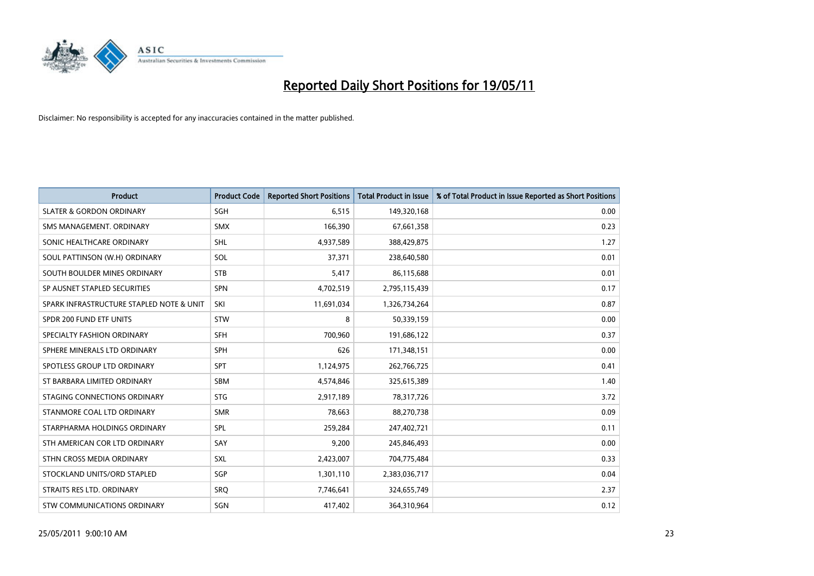

| <b>Product</b>                           | <b>Product Code</b> | <b>Reported Short Positions</b> | Total Product in Issue | % of Total Product in Issue Reported as Short Positions |
|------------------------------------------|---------------------|---------------------------------|------------------------|---------------------------------------------------------|
| <b>SLATER &amp; GORDON ORDINARY</b>      | SGH                 | 6,515                           | 149,320,168            | 0.00                                                    |
| SMS MANAGEMENT. ORDINARY                 | <b>SMX</b>          | 166,390                         | 67,661,358             | 0.23                                                    |
| SONIC HEALTHCARE ORDINARY                | <b>SHL</b>          | 4,937,589                       | 388,429,875            | 1.27                                                    |
| SOUL PATTINSON (W.H) ORDINARY            | SOL                 | 37,371                          | 238,640,580            | 0.01                                                    |
| SOUTH BOULDER MINES ORDINARY             | <b>STB</b>          | 5,417                           | 86,115,688             | 0.01                                                    |
| SP AUSNET STAPLED SECURITIES             | <b>SPN</b>          | 4,702,519                       | 2,795,115,439          | 0.17                                                    |
| SPARK INFRASTRUCTURE STAPLED NOTE & UNIT | SKI                 | 11,691,034                      | 1,326,734,264          | 0.87                                                    |
| SPDR 200 FUND ETF UNITS                  | <b>STW</b>          | 8                               | 50,339,159             | 0.00                                                    |
| SPECIALTY FASHION ORDINARY               | <b>SFH</b>          | 700,960                         | 191,686,122            | 0.37                                                    |
| SPHERE MINERALS LTD ORDINARY             | <b>SPH</b>          | 626                             | 171,348,151            | 0.00                                                    |
| SPOTLESS GROUP LTD ORDINARY              | <b>SPT</b>          | 1,124,975                       | 262,766,725            | 0.41                                                    |
| ST BARBARA LIMITED ORDINARY              | SBM                 | 4,574,846                       | 325,615,389            | 1.40                                                    |
| STAGING CONNECTIONS ORDINARY             | <b>STG</b>          | 2,917,189                       | 78,317,726             | 3.72                                                    |
| STANMORE COAL LTD ORDINARY               | <b>SMR</b>          | 78,663                          | 88,270,738             | 0.09                                                    |
| STARPHARMA HOLDINGS ORDINARY             | SPL                 | 259,284                         | 247,402,721            | 0.11                                                    |
| STH AMERICAN COR LTD ORDINARY            | SAY                 | 9,200                           | 245,846,493            | 0.00                                                    |
| STHN CROSS MEDIA ORDINARY                | <b>SXL</b>          | 2,423,007                       | 704,775,484            | 0.33                                                    |
| STOCKLAND UNITS/ORD STAPLED              | SGP                 | 1,301,110                       | 2,383,036,717          | 0.04                                                    |
| STRAITS RES LTD. ORDINARY                | SRO                 | 7,746,641                       | 324,655,749            | 2.37                                                    |
| STW COMMUNICATIONS ORDINARY              | SGN                 | 417,402                         | 364,310,964            | 0.12                                                    |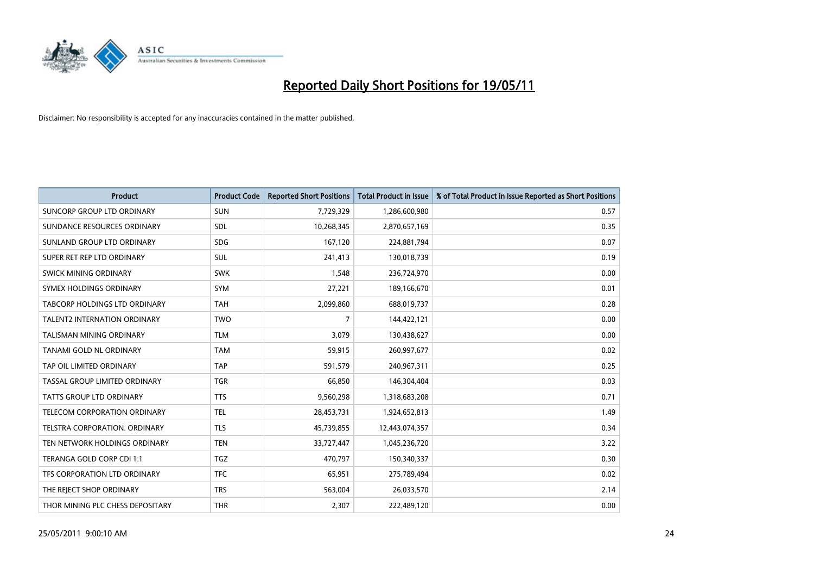

| <b>Product</b>                      | <b>Product Code</b> | <b>Reported Short Positions</b> | <b>Total Product in Issue</b> | % of Total Product in Issue Reported as Short Positions |
|-------------------------------------|---------------------|---------------------------------|-------------------------------|---------------------------------------------------------|
| <b>SUNCORP GROUP LTD ORDINARY</b>   | <b>SUN</b>          | 7,729,329                       | 1,286,600,980                 | 0.57                                                    |
| SUNDANCE RESOURCES ORDINARY         | <b>SDL</b>          | 10,268,345                      | 2,870,657,169                 | 0.35                                                    |
| SUNLAND GROUP LTD ORDINARY          | <b>SDG</b>          | 167,120                         | 224,881,794                   | 0.07                                                    |
| SUPER RET REP LTD ORDINARY          | SUL                 | 241,413                         | 130,018,739                   | 0.19                                                    |
| SWICK MINING ORDINARY               | <b>SWK</b>          | 1,548                           | 236,724,970                   | 0.00                                                    |
| SYMEX HOLDINGS ORDINARY             | SYM                 | 27,221                          | 189,166,670                   | 0.01                                                    |
| TABCORP HOLDINGS LTD ORDINARY       | <b>TAH</b>          | 2,099,860                       | 688,019,737                   | 0.28                                                    |
| <b>TALENT2 INTERNATION ORDINARY</b> | <b>TWO</b>          | $\overline{7}$                  | 144,422,121                   | 0.00                                                    |
| TALISMAN MINING ORDINARY            | <b>TLM</b>          | 3,079                           | 130,438,627                   | 0.00                                                    |
| TANAMI GOLD NL ORDINARY             | <b>TAM</b>          | 59,915                          | 260,997,677                   | 0.02                                                    |
| TAP OIL LIMITED ORDINARY            | <b>TAP</b>          | 591,579                         | 240,967,311                   | 0.25                                                    |
| TASSAL GROUP LIMITED ORDINARY       | <b>TGR</b>          | 66,850                          | 146,304,404                   | 0.03                                                    |
| <b>TATTS GROUP LTD ORDINARY</b>     | <b>TTS</b>          | 9,560,298                       | 1,318,683,208                 | 0.71                                                    |
| TELECOM CORPORATION ORDINARY        | <b>TEL</b>          | 28,453,731                      | 1,924,652,813                 | 1.49                                                    |
| TELSTRA CORPORATION, ORDINARY       | <b>TLS</b>          | 45,739,855                      | 12,443,074,357                | 0.34                                                    |
| TEN NETWORK HOLDINGS ORDINARY       | <b>TEN</b>          | 33,727,447                      | 1,045,236,720                 | 3.22                                                    |
| TERANGA GOLD CORP CDI 1:1           | <b>TGZ</b>          | 470,797                         | 150,340,337                   | 0.30                                                    |
| TFS CORPORATION LTD ORDINARY        | <b>TFC</b>          | 65,951                          | 275,789,494                   | 0.02                                                    |
| THE REJECT SHOP ORDINARY            | <b>TRS</b>          | 563,004                         | 26,033,570                    | 2.14                                                    |
| THOR MINING PLC CHESS DEPOSITARY    | <b>THR</b>          | 2,307                           | 222,489,120                   | 0.00                                                    |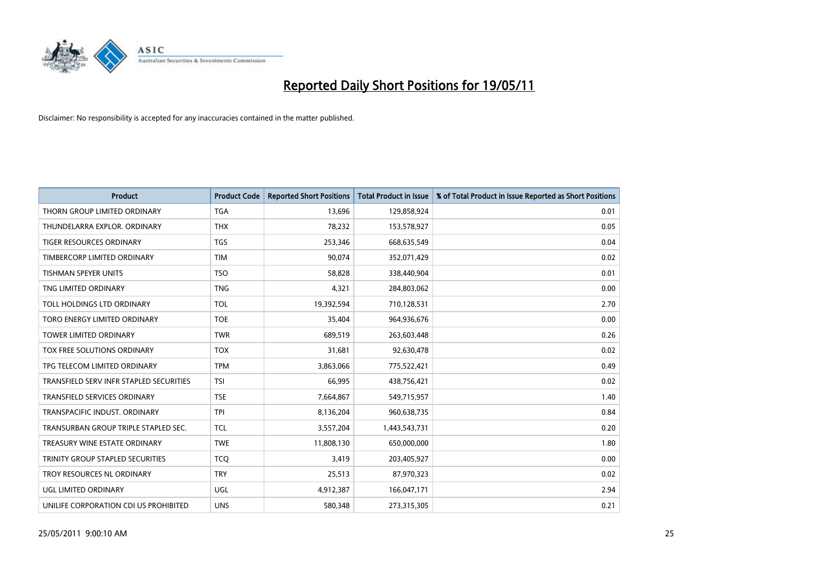

| <b>Product</b>                          | <b>Product Code</b> | <b>Reported Short Positions</b> | <b>Total Product in Issue</b> | % of Total Product in Issue Reported as Short Positions |
|-----------------------------------------|---------------------|---------------------------------|-------------------------------|---------------------------------------------------------|
| THORN GROUP LIMITED ORDINARY            | <b>TGA</b>          | 13,696                          | 129,858,924                   | 0.01                                                    |
| THUNDELARRA EXPLOR, ORDINARY            | <b>THX</b>          | 78,232                          | 153,578,927                   | 0.05                                                    |
| <b>TIGER RESOURCES ORDINARY</b>         | <b>TGS</b>          | 253,346                         | 668,635,549                   | 0.04                                                    |
| TIMBERCORP LIMITED ORDINARY             | <b>TIM</b>          | 90,074                          | 352,071,429                   | 0.02                                                    |
| <b>TISHMAN SPEYER UNITS</b>             | <b>TSO</b>          | 58.828                          | 338,440,904                   | 0.01                                                    |
| TNG LIMITED ORDINARY                    | <b>TNG</b>          | 4,321                           | 284,803,062                   | 0.00                                                    |
| TOLL HOLDINGS LTD ORDINARY              | <b>TOL</b>          | 19,392,594                      | 710,128,531                   | 2.70                                                    |
| TORO ENERGY LIMITED ORDINARY            | <b>TOE</b>          | 35,404                          | 964,936,676                   | 0.00                                                    |
| TOWER LIMITED ORDINARY                  | <b>TWR</b>          | 689,519                         | 263,603,448                   | 0.26                                                    |
| TOX FREE SOLUTIONS ORDINARY             | <b>TOX</b>          | 31,681                          | 92,630,478                    | 0.02                                                    |
| TPG TELECOM LIMITED ORDINARY            | <b>TPM</b>          | 3,863,066                       | 775,522,421                   | 0.49                                                    |
| TRANSFIELD SERV INFR STAPLED SECURITIES | <b>TSI</b>          | 66,995                          | 438,756,421                   | 0.02                                                    |
| <b>TRANSFIELD SERVICES ORDINARY</b>     | <b>TSE</b>          | 7,664,867                       | 549,715,957                   | 1.40                                                    |
| TRANSPACIFIC INDUST, ORDINARY           | <b>TPI</b>          | 8,136,204                       | 960,638,735                   | 0.84                                                    |
| TRANSURBAN GROUP TRIPLE STAPLED SEC.    | <b>TCL</b>          | 3,557,204                       | 1,443,543,731                 | 0.20                                                    |
| TREASURY WINE ESTATE ORDINARY           | <b>TWE</b>          | 11,808,130                      | 650,000,000                   | 1.80                                                    |
| TRINITY GROUP STAPLED SECURITIES        | <b>TCQ</b>          | 3,419                           | 203,405,927                   | 0.00                                                    |
| TROY RESOURCES NL ORDINARY              | <b>TRY</b>          | 25,513                          | 87,970,323                    | 0.02                                                    |
| <b>UGL LIMITED ORDINARY</b>             | <b>UGL</b>          | 4,912,387                       | 166,047,171                   | 2.94                                                    |
| UNILIFE CORPORATION CDI US PROHIBITED   | <b>UNS</b>          | 580.348                         | 273,315,305                   | 0.21                                                    |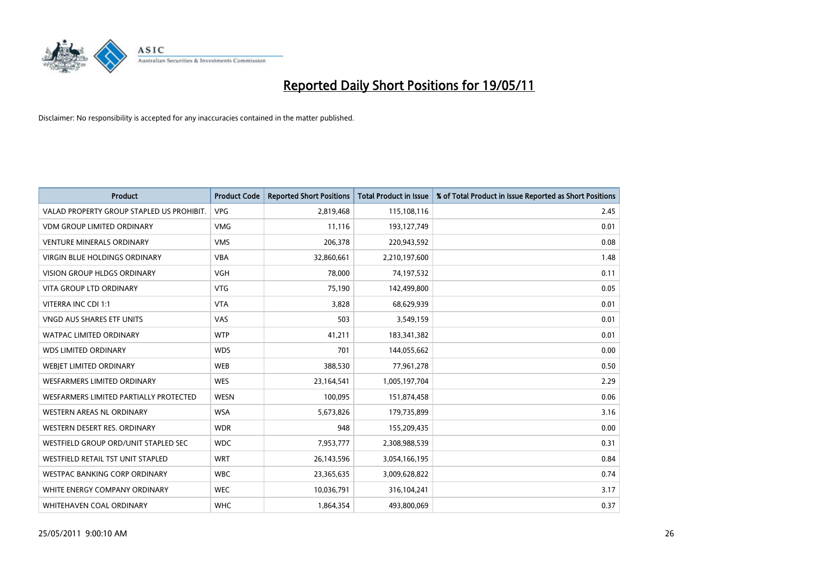

| <b>Product</b>                            | <b>Product Code</b> | <b>Reported Short Positions</b> | <b>Total Product in Issue</b> | % of Total Product in Issue Reported as Short Positions |
|-------------------------------------------|---------------------|---------------------------------|-------------------------------|---------------------------------------------------------|
| VALAD PROPERTY GROUP STAPLED US PROHIBIT. | <b>VPG</b>          | 2,819,468                       | 115,108,116                   | 2.45                                                    |
| <b>VDM GROUP LIMITED ORDINARY</b>         | <b>VMG</b>          | 11,116                          | 193,127,749                   | 0.01                                                    |
| <b>VENTURE MINERALS ORDINARY</b>          | <b>VMS</b>          | 206,378                         | 220,943,592                   | 0.08                                                    |
| <b>VIRGIN BLUE HOLDINGS ORDINARY</b>      | <b>VBA</b>          | 32,860,661                      | 2,210,197,600                 | 1.48                                                    |
| <b>VISION GROUP HLDGS ORDINARY</b>        | <b>VGH</b>          | 78,000                          | 74,197,532                    | 0.11                                                    |
| <b>VITA GROUP LTD ORDINARY</b>            | <b>VTG</b>          | 75,190                          | 142,499,800                   | 0.05                                                    |
| VITERRA INC CDI 1:1                       | <b>VTA</b>          | 3,828                           | 68,629,939                    | 0.01                                                    |
| VNGD AUS SHARES ETF UNITS                 | VAS                 | 503                             | 3,549,159                     | 0.01                                                    |
| <b>WATPAC LIMITED ORDINARY</b>            | <b>WTP</b>          | 41,211                          | 183,341,382                   | 0.01                                                    |
| <b>WDS LIMITED ORDINARY</b>               | <b>WDS</b>          | 701                             | 144,055,662                   | 0.00                                                    |
| <b>WEBJET LIMITED ORDINARY</b>            | <b>WEB</b>          | 388,530                         | 77,961,278                    | 0.50                                                    |
| <b>WESFARMERS LIMITED ORDINARY</b>        | <b>WES</b>          | 23,164,541                      | 1,005,197,704                 | 2.29                                                    |
| WESFARMERS LIMITED PARTIALLY PROTECTED    | <b>WESN</b>         | 100,095                         | 151,874,458                   | 0.06                                                    |
| <b>WESTERN AREAS NL ORDINARY</b>          | <b>WSA</b>          | 5,673,826                       | 179,735,899                   | 3.16                                                    |
| WESTERN DESERT RES. ORDINARY              | <b>WDR</b>          | 948                             | 155,209,435                   | 0.00                                                    |
| WESTFIELD GROUP ORD/UNIT STAPLED SEC      | <b>WDC</b>          | 7,953,777                       | 2,308,988,539                 | 0.31                                                    |
| WESTFIELD RETAIL TST UNIT STAPLED         | <b>WRT</b>          | 26,143,596                      | 3,054,166,195                 | 0.84                                                    |
| WESTPAC BANKING CORP ORDINARY             | <b>WBC</b>          | 23,365,635                      | 3,009,628,822                 | 0.74                                                    |
| WHITE ENERGY COMPANY ORDINARY             | <b>WEC</b>          | 10,036,791                      | 316,104,241                   | 3.17                                                    |
| WHITEHAVEN COAL ORDINARY                  | <b>WHC</b>          | 1,864,354                       | 493,800,069                   | 0.37                                                    |